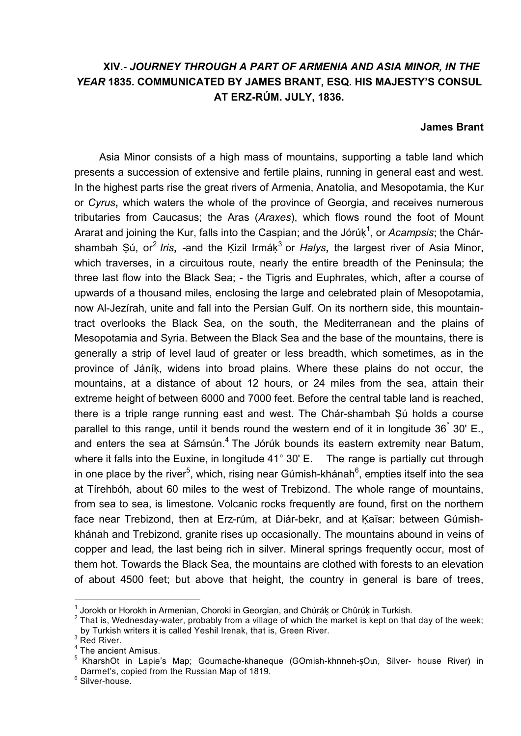## **XIV.-** *JOURNEY THROUGH A PART OF ARMENIA AND ASIA MINOR, IN THE YEAR* **1835. COMMUNICATED BY JAMES BRANT, ESQ. HIS MAJESTY'S CONSUL AT ERZ-RÚM. JULY, 1836.**

## **James Brant**

Asia Minor consists of a high mass of mountains, supporting a table land which presents a succession of extensive and fertile plains, running in general east and west. In the highest parts rise the great rivers of Armenia, Anatolia, and Mesopotamia, the Kur or *Cyrus***,** which waters the whole of the province of Georgia, and receives numerous tributaries from Caucasus; the Aras (*Araxes*), which flows round the foot of Mount Ararat and joining the Kur, falls into the Caspian; and the Jórúk<sup>1</sup>, or *Acampsis*; the Chárshambah Ṣú, or<sup>2</sup> *Iris*, -and the Ķizil Irmák<sup>3</sup> or *Halys*, the largest river of Asia Minor, which traverses, in a circuitous route, nearly the entire breadth of the Peninsula; the three last flow into the Black Sea; - the Tigris and Euphrates, which, after a course of upwards of a thousand miles, enclosing the large and celebrated plain of Mesopotamia, now Al-Jezírah, unite and fall into the Persian Gulf. On its northern side, this mountaintract overlooks the Black Sea, on the south, the Mediterranean and the plains of Mesopotamia and Syria. Between the Black Sea and the base of the mountains, there is generally a strip of level laud of greater or less breadth, which sometimes, as in the province of Jáníḳ, widens into broad plains. Where these plains do not occur, the mountains, at a distance of about 12 hours, or 24 miles from the sea, attain their extreme height of between 6000 and 7000 feet. Before the central table land is reached, there is a triple range running east and west. The Chár-shambah Ṣú holds a course parallel to this range, until it bends round the western end of it in longitude 36° 30' E., and enters the sea at Sámsún.<sup>4</sup> The Jórúk bounds its eastern extremity near Batum, where it falls into the Euxine, in longitude 41° 30' E. The range is partially cut through in one place by the river<sup>5</sup>, which, rising near Gúmish-khánah<sup>6</sup>, empties itself into the sea at Tírehbóh, about 60 miles to the west of Trebizond. The whole range of mountains, from sea to sea, is limestone. Volcanic rocks frequently are found, first on the northern face near Trebizond, then at Erz-rúm, at Diár-bekr, and at Kaïsar: between Gúmishkhánah and Trebizond, granite rises up occasionally. The mountains abound in veins of copper and lead, the last being rich in silver. Mineral springs frequently occur, most of them hot. Towards the Black Sea, the mountains are clothed with forests to an elevation of about 4500 feet; but above that height, the country in general is bare of trees,

<sup>&</sup>lt;sup>1</sup> Jorokh or Horokh in Armenian, Choroki in Georgian, and Chúráķ or Chûrúķ in Turkish.

 $2$  That is, Wednesday-water, probably from a village of which the market is kept on that day of the week; by Turkish writers it is called Yeshil Irenak, that is, Green River.

 $3$  Red River.

<sup>4</sup> The ancient Amisus.

<sup>&</sup>lt;sup>5</sup> KharshOt in Lapie's Map; Goumache-khaneque (GOmish-khnneh-ṣOun, Silver- house River) in Darmet's, copied from the Russian Map of 1819.

 $6$  Silver-house.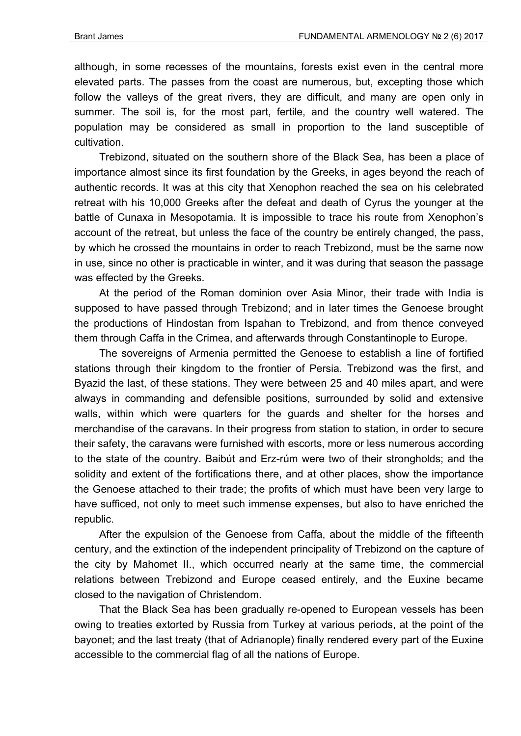although, in some recesses of the mountains, forests exist even in the central more elevated parts. The passes from the coast are numerous, but, excepting those which follow the valleys of the great rivers, they are difficult, and many are open only in summer. The soil is, for the most part, fertile, and the country well watered. The population may be considered as small in proportion to the land susceptible of cultivation.

Trebizond, situated on the southern shore of the Black Sea, has been a place of importance almost since its first foundation by the Greeks, in ages beyond the reach of authentic records. It was at this city that Xenophon reached the sea on his celebrated retreat with his 10,000 Greeks after the defeat and death of Cyrus the younger at the battle of Cunaxa in Mesopotamia. It is impossible to trace his route from Xenophon's account of the retreat, but unless the face of the country be entirely changed, the pass, by which he crossed the mountains in order to reach Trebizond, must be the same now in use, since no other is practicable in winter, and it was during that season the passage was effected by the Greeks.

At the period of the Roman dominion over Asia Minor, their trade with India is supposed to have passed through Trebizond; and in later times the Genoese brought the productions of Hindostan from Ispahan to Trebizond, and from thence conveyed them through Caffa in the Crimea, and afterwards through Constantinople to Europe.

The sovereigns of Armenia permitted the Genoese to establish a line of fortified stations through their kingdom to the frontier of Persia. Trebizond was the first, and Byazid the last, of these stations. They were between 25 and 40 miles apart, and were always in commanding and defensible positions, surrounded by solid and extensive walls, within which were quarters for the guards and shelter for the horses and merchandise of the caravans. In their progress from station to station, in order to secure their safety, the caravans were furnished with escorts, more or less numerous according to the state of the country. Baibút and Erz-rúm were two of their strongholds; and the solidity and extent of the fortifications there, and at other places, show the importance the Genoese attached to their trade; the profits of which must have been very large to have sufficed, not only to meet such immense expenses, but also to have enriched the republic.

After the expulsion of the Genoese from Caffa, about the middle of the fifteenth century, and the extinction of the independent principality of Trebizond on the capture of the city by Mahomet II., which occurred nearly at the same time, the commercial relations between Trebizond and Europe ceased entirely, and the Euxine became closed to the navigation of Christendom.

That the Black Sea has been gradually re-opened to European vessels has been owing to treaties extorted by Russia from Turkey at various periods, at the point of the bayonet; and the last treaty (that of Adrianople) finally rendered every part of the Euxine accessible to the commercial flag of all the nations of Europe.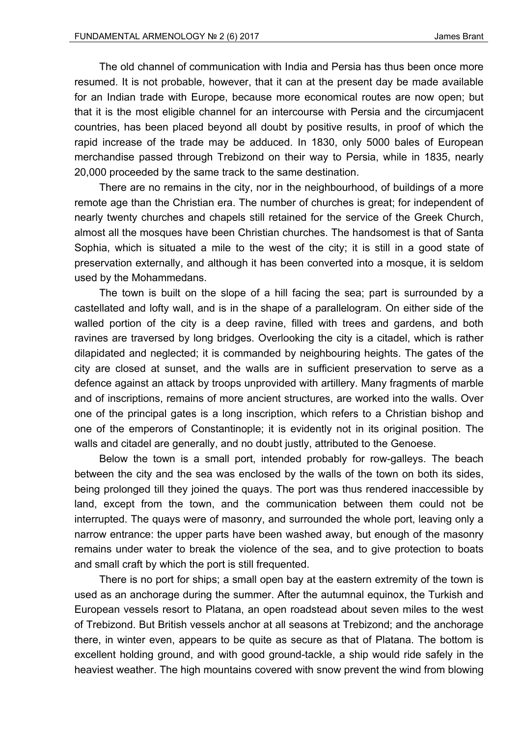The old channel of communication with India and Persia has thus been once more resumed. It is not probable, however, that it can at the present day be made available for an Indian trade with Europe, because more economical routes are now open; but that it is the most eligible channel for an intercourse with Persia and the circumjacent countries, has been placed beyond all doubt by positive results, in proof of which the rapid increase of the trade may be adduced. In 1830, only 5000 bales of European merchandise passed through Trebizond on their way to Persia, while in 1835, nearly 20,000 proceeded by the same track to the same destination.

There are no remains in the city, nor in the neighbourhood, of buildings of a more remote age than the Christian era. The number of churches is great; for independent of nearly twenty churches and chapels still retained for the service of the Greek Church, almost all the mosques have been Christian churches. The handsomest is that of Santa Sophia, which is situated a mile to the west of the city; it is still in a good state of preservation externally, and although it has been converted into a mosque, it is seldom used by the Mohammedans.

The town is built on the slope of a hill facing the sea; part is surrounded by a castellated and lofty wall, and is in the shape of a parallelogram. On either side of the walled portion of the city is a deep ravine, filled with trees and gardens, and both ravines are traversed by long bridges. Overlooking the city is a citadel, which is rather dilapidated and neglected; it is commanded by neighbouring heights. The gates of the city are closed at sunset, and the walls are in sufficient preservation to serve as a defence against an attack by troops unprovided with artillery. Many fragments of marble and of inscriptions, remains of more ancient structures, are worked into the walls. Over one of the principal gates is a long inscription, which refers to a Christian bishop and one of the emperors of Constantinople; it is evidently not in its original position. The walls and citadel are generally, and no doubt justly, attributed to the Genoese.

Below the town is a small port, intended probably for row-galleys. The beach between the city and the sea was enclosed by the walls of the town on both its sides, being prolonged till they joined the quays. The port was thus rendered inaccessible by land, except from the town, and the communication between them could not be interrupted. The quays were of masonry, and surrounded the whole port, leaving only a narrow entrance: the upper parts have been washed away, but enough of the masonry remains under water to break the violence of the sea, and to give protection to boats and small craft by which the port is still frequented.

There is no port for ships; a small open bay at the eastern extremity of the town is used as an anchorage during the summer. After the autumnal equinox, the Turkish and European vessels resort to Platana, an open roadstead about seven miles to the west of Trebizond. But British vessels anchor at all seasons at Trebizond; and the anchorage there, in winter even, appears to be quite as secure as that of Platana. The bottom is excellent holding ground, and with good ground-tackle, a ship would ride safely in the heaviest weather. The high mountains covered with snow prevent the wind from blowing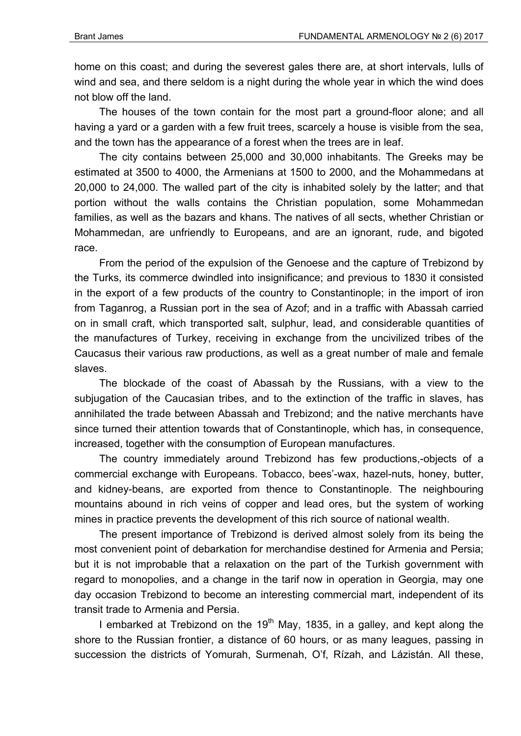home on this coast; and during the severest gales there are, at short intervals, lulls of wind and sea, and there seldom is a night during the whole year in which the wind does not blow off the land.

The houses of the town contain for the most part a ground-floor alone; and all having a yard or a garden with a few fruit trees, scarcely a house is visible from the sea, and the town has the appearance of a forest when the trees are in leaf.

The city contains between 25,000 and 30,000 inhabitants. The Greeks may be estimated at 3500 to 4000, the Armenians at 1500 to 2000, and the Mohammedans at 20,000 to 24,000. The walled part of the city is inhabited solely by the latter; and that portion without the walls contains the Christian population, some Mohammedan families, as well as the bazars and khans. The natives of all sects, whether Christian or Mohammedan, are unfriendly to Europeans, and are an ignorant, rude, and bigoted race.

From the period of the expulsion of the Genoese and the capture of Trebizond by the Turks, its commerce dwindled into insignificance; and previous to 1830 it consisted in the export of a few products of the country to Constantinople; in the import of iron from Taganrog, a Russian port in the sea of Azof; and in a traffic with Abassah carried on in small craft, which transported salt, sulphur, lead, and considerable quantities of the manufactures of Turkey, receiving in exchange from the uncivilized tribes of the Caucasus their various raw productions, as well as a great number of male and female slaves.

The blockade of the coast of Abassah by the Russians, with a view to the subjugation of the Caucasian tribes, and to the extinction of the traffic in slaves, has annihilated the trade between Abassah and Trebizond; and the native merchants have since turned their attention towards that of Constantinople, which has, in consequence, increased, together with the consumption of European manufactures.

The country immediately around Trebizond has few productions,-objects of a commercial exchange with Europeans. Tobacco, bees'-wax, hazel-nuts, honey, butter, and kidney-beans, are exported from thence to Constantinople. The neighbouring mountains abound in rich veins of copper and lead ores, but the system of working mines in practice prevents the development of this rich source of national wealth.

The present importance of Trebizond is derived almost solely from its being the most convenient point of debarkation for merchandise destined for Armenia and Persia; but it is not improbable that a relaxation on the part of the Turkish government with regard to monopolies, and a change in the tarif now in operation in Georgia, may one day occasion Trebizond to become an interesting commercial mart, independent of its transit trade to Armenia and Persia.

I embarked at Trebizond on the  $19<sup>th</sup>$  May, 1835, in a galley, and kept along the shore to the Russian frontier, a distance of 60 hours, or as many leagues, passing in succession the districts of Yomurah, Surmenah, О'f, Rízah, and Lázistán. All these,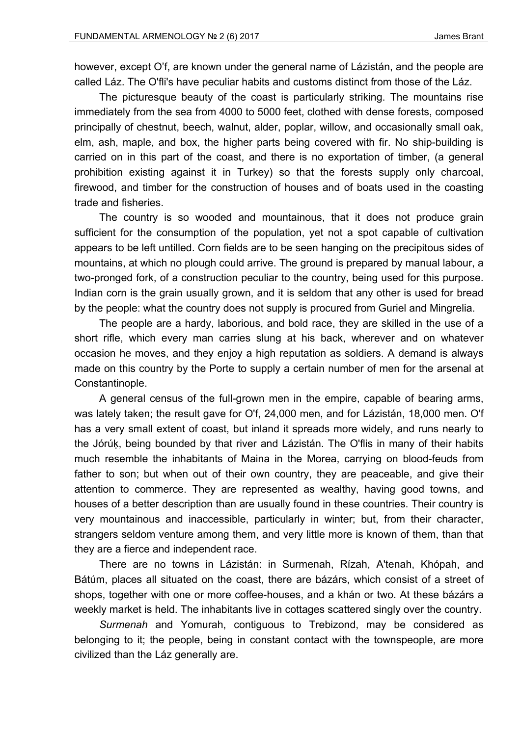however, except O'f, are known under the general name of Lázistán, and the people are called Láz. The O'fli's have peculiar habits and customs distinct from those of the Láz.

The picturesque beauty of the coast is particularly striking. The mountains rise immediately from the sea from 4000 to 5000 feet, clothed with dense forests, composed principally of chestnut, beech, walnut, alder, poplar, willow, and occasionally small oak, elm, ash, maple, and box, the higher parts being covered with fir. No ship-building is carried on in this part of the coast, and there is no exportation of timber, (a general prohibition existing against it in Turkey) so that the forests supply only charcoal, firewood, and timber for the construction of houses and of boats used in the coasting trade and fisheries.

The country is so wooded and mountainous, that it does not produce grain sufficient for the consumption of the population, yet not a spot capable of cultivation appears to be left untilled. Corn fields are to be seen hanging on the precipitous sides of mountains, at which no plough could arrive. The ground is prepared by manual labour, a two-pronged fork, of a construction peculiar to the country, being used for this purpose. Indian corn is the grain usually grown, and it is seldom that any other is used for bread by the people: what the country does not supply is procured from Guriel and Mingrelia.

The people are a hardy, laborious, and bold race, they are skilled in the use of a short rifle, which every man carries slung at his back, wherever and on whatever occasion he moves, and they enjoy a high reputation as soldiers. A demand is always made on this country by the Porte to supply a certain number of men for the arsenal at Constantinople.

A general census of the full-grown men in the empire, capable of bearing arms, was lately taken; the result gave for O'f, 24,000 men, and for Lázistán, 18,000 men. O'f has a very small extent of coast, but inland it spreads more widely, and runs nearly to the Jórúḳ, being bounded by that river and Lázistán. The O'flis in many of their habits much resemble the inhabitants of Maina in the Morea, carrying on blood-feuds from father to son; but when out of their own country, they are peaceable, and give their attention to commerce. They are represented as wealthy, having good towns, and houses of a better description than are usually found in these countries. Their country is very mountainous and inaccessible, particularly in winter; but, from their character, strangers seldom venture among them, and very little more is known of them, than that they are a fierce and independent race.

There are no towns in Lázistán: in Surmenah, Rízah, A'tenah, Khópah, and Bátúm, places all situated on the coast, there are bázárs, which consist of a street of shops, together with one or more coffee-houses, and a khán or two. At these bázárs a weekly market is held. The inhabitants live in cottages scattered singly over the country.

*Surmenah* and Yomurah, contiguous to Trebizond, may be considered as belonging to it; the people, being in constant contact with the townspeople, are more civilized than the Láz generally are.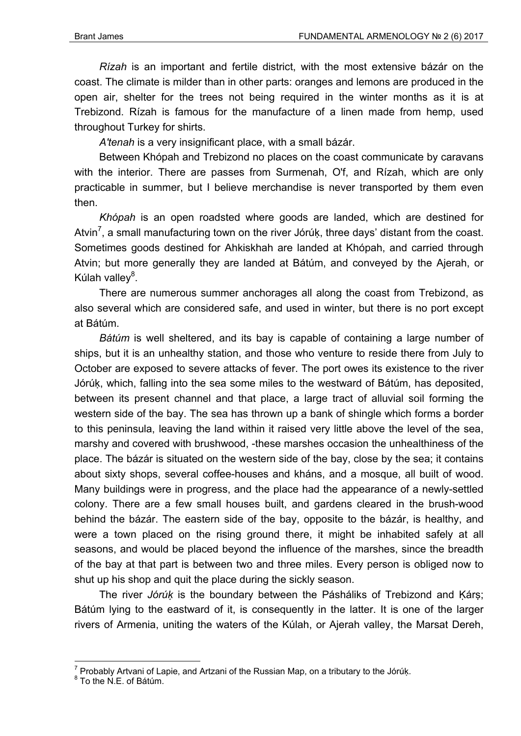*Rízah* is an important and fertile district, with the most extensive bázár on the coast. The climate is milder than in other parts: oranges and lemons are produced in the open air, shelter for the trees not being required in the winter months as it is at Trebizond. Rízah is famous for the manufacture of a linen made from hemp, used throughout Turkey for shirts.

*A'tenah* is a very insignificant place, with a small bázár.

Between Khópah and Trebizond no places on the coast communicate by caravans with the interior. There are passes from Surmenah, O'f, and Rízah, which are only practicable in summer, but I believe merchandise is never transported by them even then.

*Khópah* is an open roadsted where goods are landed, which are destined for Atvin<sup>7</sup>, a small manufacturing town on the river Jórúk, three days' distant from the coast. Sometimes goods destined for Ahkiskhah are landed at Khópah, and carried through Atvin; but more generally they are landed at Bátúm, and conveyed by the Ajerah, or Kúlah valley<sup>8</sup>.

There are numerous summer anchorages all along the coast from Trebizond, as also several which are considered safe, and used in winter, but there is no port except at Bátúm.

*Bátúm* is well sheltered, and its bay is capable of containing a large number of ships, but it is an unhealthy station, and those who venture to reside there from July to October are exposed to severe attacks of fever. The port owes its existence to the river Jórúḳ, which, falling into the sea some miles to the westward of Bátúm, has deposited, between its present channel and that place, a large tract of alluvial soil forming the western side of the bay. The sea has thrown up a bank of shingle which forms a border to this peninsula, leaving the land within it raised very little above the level of the sea, marshy and covered with brushwood, -these marshes occasion the unhealthiness of the place. The bázár is situated on the western side of the bay, close by the sea; it contains about sixty shops, several coffee-houses and kháns, and a mosque, all built of wood. Many buildings were in progress, and the place had the appearance of a newly-settled colony. There are a few small houses built, and gardens cleared in the brush-wood behind the bázár. The eastern side of the bay, opposite to the bázár, is healthy, and were a town placed on the rising ground there, it might be inhabited safely at all seasons, and would be placed beyond the influence of the marshes, since the breadth of the bay at that part is between two and three miles. Every person is obliged now to shut up his shop and quit the place during the sickly season.

The river *Jórúk* is the boundary between the Pásháliks of Trebizond and Kárṣ; Bátúm lying to the eastward of it, is consequently in the latter. It is one of the larger rivers of Armenia, uniting the waters of the Kúlah, or Ajerah valley, the Marsat Dereh,

 7 Probably Artvani of Lapie, and Artzani of the Russian Map, on a tributary to the Jórúḳ. 8

 $8$  To the N.E. of Bátúm.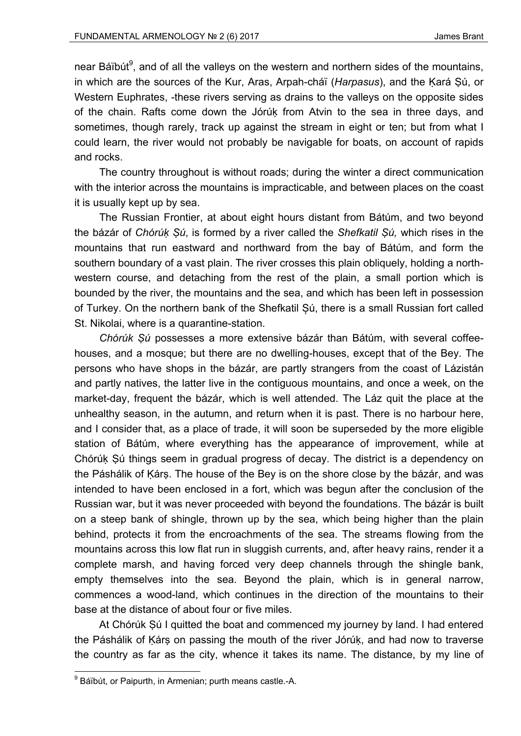near Báïbút<sup>9</sup>, and of all the valleys on the western and northern sides of the mountains, in which are the sources of the Kur, Aras, Arpah-cháï (*Harpasus*), and the Ḳará Ṣú, or Western Euphrates, -these rivers serving as drains to the valleys on the opposite sides of the chain. Rafts come down the Jórúḳ from Atvin to the sea in three days, and sometimes, though rarely, track up against the stream in eight or ten; but from what I could learn, the river would not probably be navigable for boats, on account of rapids and rocks.

The country throughout is without roads; during the winter a direct communication with the interior across the mountains is impracticable, and between places on the coast it is usually kept up by sea.

The Russian Frontier, at about eight hours distant from Bátúm, and two beyond the bázár of *Chórúḳ Ṣú*, is formed by a river called the *Shefkatil Ṣú,* which rises in the mountains that run eastward and northward from the bay of Bátúm, and form the southern boundary of a vast plain. The river crosses this plain obliquely, holding a northwestern course, and detaching from the rest of the plain, a small portion which is bounded by the river, the mountains and the sea, and which has been left in possession of Turkey. On the northern bank of the Shefkatil Șú, there is a small Russian fort called St. Nikolai, where is a quarantine-station.

*Chórúk Ṣú* possesses a more extensive bázár than Bátúm, with several coffeehouses, and a mosque; but there are no dwelling-houses, except that of the Bey. The persons who have shops in the bázár, are partly strangers from the coast of Lázistán and partly natives, the latter live in the contiguous mountains, and once a week, on the market-day, frequent the bázár, which is well attended. The Láz quit the place at the unhealthy season, in the autumn, and return when it is past. There is no harbour here, and I consider that, as a place of trade, it will soon be superseded by the more eligible station of Bátúm, where everything has the appearance of improvement, while at Chórúḳ Ṣú things seem in gradual progress of decay. The district is a dependency on the Páshálik of Kárs. The house of the Bey is on the shore close by the bázár, and was intended to have been enclosed in a fort, which was begun after the conclusion of the Russian war, but it was never proceeded with beyond the foundations. The bázár is built on a steep bank of shingle, thrown up by the sea, which being higher than the plain behind, protects it from the encroachments of the sea. The streams flowing from the mountains across this low flat run in sluggish currents, and, after heavy rains, render it a complete marsh, and having forced very deep channels through the shingle bank, empty themselves into the sea. Beyond the plain, which is in general narrow, commences a wood-land, which continues in the direction of the mountains to their base at the distance of about four or five miles.

At Chórúk Ṣú I quitted the boat and commenced my journey by land. I had entered the Páshálik of Ḳárṣ on passing the mouth of the river Jórúḳ, and had now to traverse the country as far as the city, whence it takes its name. The distance, by my line of

<sup>&</sup>lt;sup>9</sup> Báïbút, or Paipurth, in Armenian; purth means castle.-A.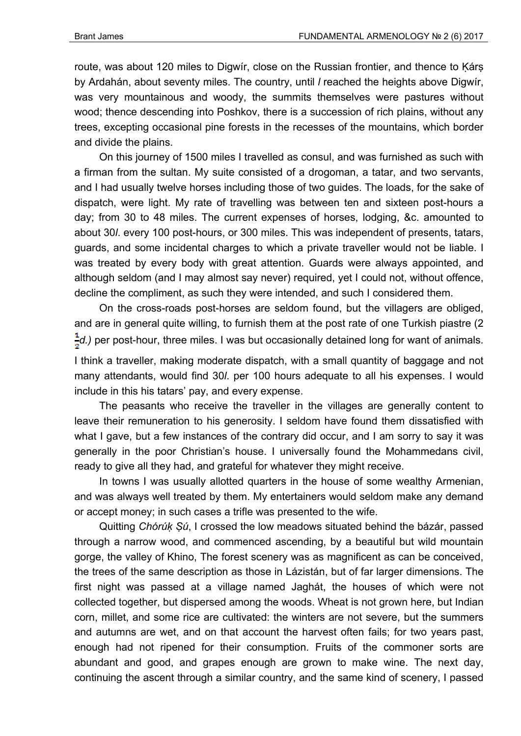route, was about 120 miles to Digwir, close on the Russian frontier, and thence to Kárs by Ardahán, about seventy miles. The country, until *l* reached the heights above Digwír, was very mountainous and woody, the summits themselves were pastures without wood; thence descending into Poshkov, there is a succession of rich plains, without any trees, excepting occasional pine forests in the recesses of the mountains, which border and divide the plains.

On this journey of 1500 miles I travelled as consul, and was furnished as such with a firman from the sultan. My suite consisted of a drogoman, a tatar, and two servants, and I had usually twelve horses including those of two guides. The loads, for the sake of dispatch, were light. My rate of travelling was between ten and sixteen post-hours a day; from 30 to 48 miles. The current expenses of horses, lodging, &c. amounted to about 30*l*. every 100 post-hours, or 300 miles. This was independent of presents, tatars, guards, and some incidental charges to which a private traveller would not be liable. I was treated by every body with great attention. Guards were always appointed, and although seldom (and I may almost say never) required, yet I could not, without offence, decline the compliment, as such they were intended, and such I considered them.

On the cross-roads post-horses are seldom found, but the villagers are obliged, and are in general quite willing, to furnish them at the post rate of one Turkish piastre (2  $\frac{1}{5}d$ .) per post-hour, three miles. I was but occasionally detained long for want of animals.

I think a traveller, making moderate dispatch, with a small quantity of baggage and not many attendants, would find 30*l*. per 100 hours adequate to all his expenses. I would include in this his tatars' pay, and every expense.

The peasants who receive the traveller in the villages are generally content to leave their remuneration to his generosity. I seldom have found them dissatisfied with what I gave, but a few instances of the contrary did occur, and I am sorry to say it was generally in the poor Christian's house. I universally found the Mohammedans civil, ready to give all they had, and grateful for whatever they might receive.

In towns I was usually allotted quarters in the house of some wealthy Armenian, and was always well treated by them. My entertainers would seldom make any demand or accept money; in such cases a trifle was presented to the wife.

Quitting *Chórúḳ Ṣú*, I crossed the low meadows situated behind the bázár, passed through a narrow wood, and commenced ascending, by a beautiful but wild mountain gorge, the valley of Khino, The forest scenery was as magnificent as can be conceived, the trees of the same description as those in Lázistán, but of far larger dimensions. The first night was passed at a village named Jaghát, the houses of which were not collected together, but dispersed among the woods. Wheat is not grown here, but Indian corn, millet, and some rice are cultivated: the winters are not severe, but the summers and autumns are wet, and on that account the harvest often fails; for two years past, enough had not ripened for their consumption. Fruits of the commoner sorts are abundant and good, and grapes enough are grown to make wine. The next day, continuing the ascent through a similar country, and the same kind of scenery, I passed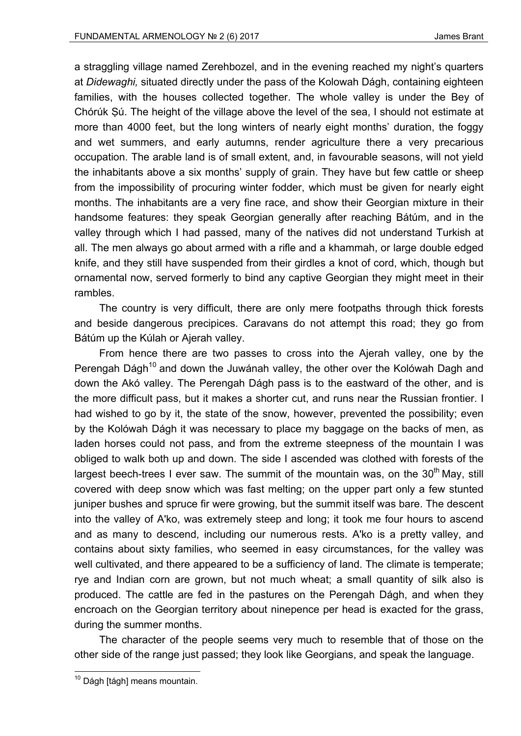a straggling village named Zerehbozel, and in the evening reached my night's quarters at *Didewaghi,* situated directly under the pass of the Kolowah Dágh, containing eighteen families, with the houses collected together. The whole valley is under the Bey of Chórúk Ṣú. The height of the village above the level of the sea, I should not estimate at more than 4000 feet, but the long winters of nearly eight months' duration, the foggy and wet summers, and early autumns, render agriculture there a very precarious occupation. The arable land is of small extent, and, in favourable seasons, will not yield the inhabitants above a six months' supply of grain. They have but few cattle or sheep from the impossibility of procuring winter fodder, which must be given for nearly eight months. The inhabitants are a very fine race, and show their Georgian mixture in their handsome features: they speak Georgian generally after reaching Bátúm, and in the valley through which I had passed, many of the natives did not understand Turkish at all. The men always go about armed with a rifle and a khammah, or large double edged knife, and they still have suspended from their girdles a knot of cord, which, though but ornamental now, served formerly to bind any captive Georgian they might meet in their rambles.

The country is very difficult, there are only mere footpaths through thick forests and beside dangerous precipices. Caravans do not attempt this road; they go from Bátúm up the Kúlah or Ajerah valley.

From hence there are two passes to cross into the Ajerah valley, one by the Perengah Dágh<sup>10</sup> and down the Juwánah valley, the other over the Kolówah Dagh and down the Akó valley. The Perengah Dágh pass is to the eastward of the other, and is the more difficult pass, but it makes a shorter cut, and runs near the Russian frontier. I had wished to go by it, the state of the snow, however, prevented the possibility; even by the Kolówah Dágh it was necessary to place my baggage on the backs of men, as laden horses could not pass, and from the extreme steepness of the mountain I was obliged to walk both up and down. The side I ascended was clothed with forests of the largest beech-trees I ever saw. The summit of the mountain was, on the 30<sup>th</sup> May, still covered with deep snow which was fast melting; on the upper part only a few stunted juniper bushes and spruce fir were growing, but the summit itself was bare. The descent into the valley of A'ko, was extremely steep and long; it took me four hours to ascend and as many to descend, including our numerous rests. A'ko is a pretty valley, and contains about sixty families, who seemed in easy circumstances, for the valley was well cultivated, and there appeared to be a sufficiency of land. The climate is temperate; rye and Indian corn are grown, but not much wheat; a small quantity of silk also is produced. The cattle are fed in the pastures on the Perengah Dágh, and when they encroach on the Georgian territory about ninepence per head is exacted for the grass, during the summer months.

The character of the people seems very much to resemble that of those on the other side of the range just passed; they look like Georgians, and speak the language.

<sup>1</sup> <sup>10</sup> Dágh [tágh] means mountain.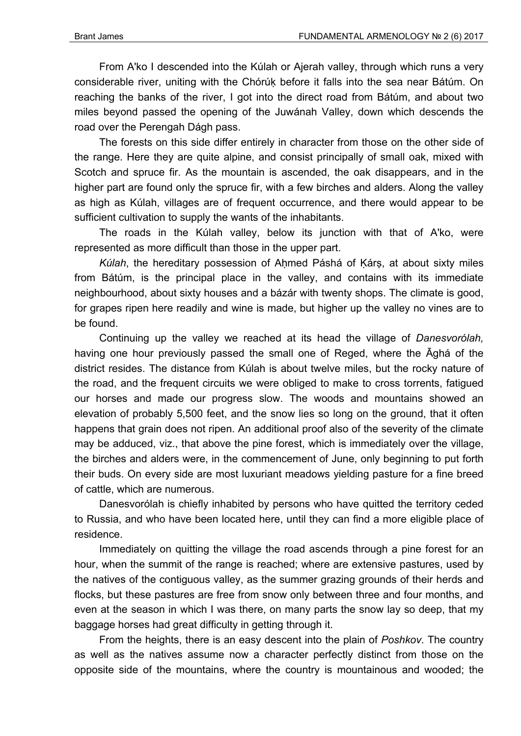From A'ko I descended into the Kúlah or Ajerah valley, through which runs a very considerable river, uniting with the Chórúḳ before it falls into the sea near Bátúm. On reaching the banks of the river, I got into the direct road from Bátúm, and about two miles beyond passed the opening of the Juwánah Valley, down which descends the road over the Perengah Dágh pass.

The forests on this side differ entirely in character from those on the other side of the range. Here they are quite alpine, and consist principally of small oak, mixed with Scotch and spruce fir. As the mountain is ascended, the oak disappears, and in the higher part are found only the spruce fir, with a few birches and alders. Along the valley as high as Kúlah, villages are of frequent occurrence, and there would appear to be sufficient cultivation to supply the wants of the inhabitants.

The roads in the Kúlah valley, below its junction with that of A'ko, were represented as more difficult than those in the upper part.

*Kúlah*, the hereditary possession of Ahmed Páshá of Kárs, at about sixty miles from Bátúm, is the principal place in the valley, and contains with its immediate neighbourhood, about sixty houses and a bázár with twenty shops. The climate is good, for grapes ripen here readily and wine is made, but higher up the valley no vines are to be found.

Continuing up the valley we reached at its head the village of *Danesvorólah,* having one hour previously passed the small one of Reged, where the Āghá of the district resides. The distance from Kúlah is about twelve miles, but the rocky nature of the road, and the frequent circuits we were obliged to make to cross torrents, fatigued our horses and made our progress slow. The woods and mountains showed an elevation of probably 5,500 feet, and the snow lies so long on the ground, that it often happens that grain does not ripen. An additional proof also of the severity of the climate may be adduced, viz., that above the pine forest, which is immediately over the village, the birches and alders were, in the commencement of June, only beginning to put forth their buds. On every side are most luxuriant meadows yielding pasture for a fine breed of cattle, which are numerous.

Danesvorólah is chiefly inhabited by persons who have quitted the territory ceded to Russia, and who have been located here, until they can find a more eligible place of residence.

Immediately on quitting the village the road ascends through a pine forest for an hour, when the summit of the range is reached; where are extensive pastures, used by the natives of the contiguous valley, as the summer grazing grounds of their herds and flocks, but these pastures are free from snow only between three and four months, and even at the season in which I was there, on many parts the snow lay so deep, that my baggage horses had great difficulty in getting through it.

From the heights, there is an easy descent into the plain of *Poshkov*. The country as well as the natives assume now a character perfectly distinct from those on the opposite side of the mountains, where the country is mountainous and wooded; the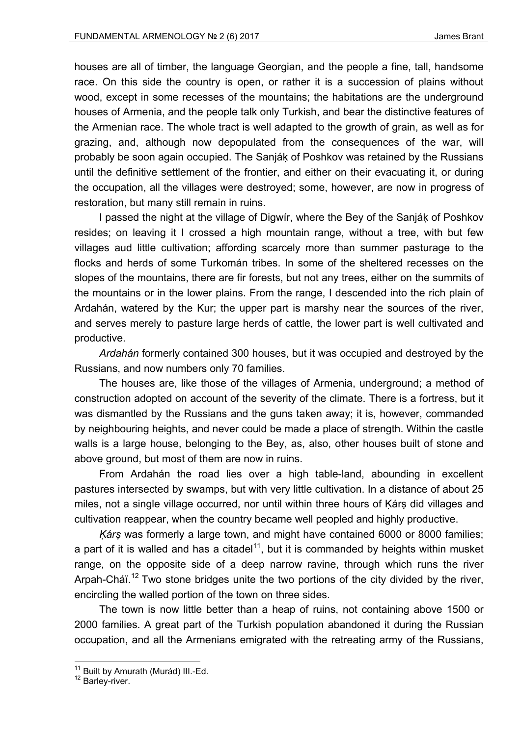houses are all of timber, the language Georgian, and the people a fine, tall, handsome race. On this side the country is open, or rather it is a succession of plains without wood, except in some recesses of the mountains; the habitations are the underground houses of Armenia, and the people talk only Turkish, and bear the distinctive features of the Armenian race. The whole tract is well adapted to the growth of grain, as well as for grazing, and, although now depopulated from the consequences of the war, will probably be soon again occupied. The Sanjáḳ of Poshkov was retained by the Russians until the definitive settlement of the frontier, and either on their evacuating it, or during the occupation, all the villages were destroyed; some, however, are now in progress of restoration, but many still remain in ruins.

I passed the night at the village of Digwír, where the Bey of the Sanjáḳ of Poshkov resides; on leaving it I crossed a high mountain range, without a tree, with but few villages aud little cultivation; affording scarcely more than summer pasturage to the flocks and herds of some Turkomán tribes. In some of the sheltered recesses on the slopes of the mountains, there are fir forests, but not any trees, either on the summits of the mountains or in the lower plains. From the range, I descended into the rich plain of Ardahán, watered by the Kur; the upper part is marshy near the sources of the river, and serves merely to pasture large herds of cattle, the lower part is well cultivated and productive.

*Ardahán* formerly contained 300 houses, but it was occupied and destroyed by the Russians, and now numbers only 70 families.

The houses are, like those of the villages of Armenia, underground; a method of construction adopted on account of the severity of the climate. There is a fortress, but it was dismantled by the Russians and the guns taken away; it is, however, commanded by neighbouring heights, and never could be made a place of strength. Within the castle walls is a large house, belonging to the Bey, as, also, other houses built of stone and above ground, but most of them are now in ruins.

From Ardahán the road lies over a high table-land, abounding in excellent pastures intersected by swamps, but with very little cultivation. In a distance of about 25 miles, not a single village occurred, nor until within three hours of Ḳárṣ did villages and cultivation reappear, when the country became well peopled and highly productive.

*Ḳárṣ* was formerly a large town, and might have contained 6000 or 8000 families; a part of it is walled and has a citadel<sup>11</sup>, but it is commanded by heights within musket range, on the opposite side of a deep narrow ravine, through which runs the river Arpah-Cháï.<sup>12</sup> Two stone bridges unite the two portions of the city divided by the river, encircling the walled portion of the town on three sides.

The town is now little better than a heap of ruins, not containing above 1500 or 2000 families. A great part of the Turkish population abandoned it during the Russian occupation, and all the Armenians emigrated with the retreating army of the Russians,

<sup>&</sup>lt;sup>11</sup> Built by Amurath (Murád) III.-Ed.<br><sup>12</sup> Barley-river.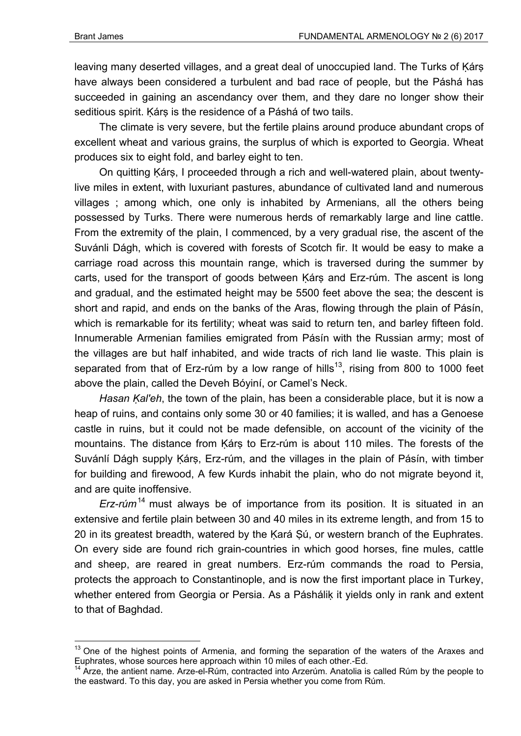1

leaving many deserted villages, and a great deal of unoccupied land. The Turks of Kárs have always been considered a turbulent and bad race of people, but the Páshá has succeeded in gaining an ascendancy over them, and they dare no longer show their seditious spirit. Kárs is the residence of a Páshá of two tails.

The climate is very severe, but the fertile plains around produce abundant crops of excellent wheat and various grains, the surplus of which is exported to Georgia. Wheat produces six to eight fold, and barley eight to ten.

On quitting Ḳárṣ, I proceeded through a rich and well-watered plain, about twentylive miles in extent, with luxuriant pastures, abundance of cultivated land and numerous villages ; among which, one only is inhabited by Armenians, all the others being possessed by Turks. There were numerous herds of remarkably large and line cattle. From the extremity of the plain, I commenced, by a very gradual rise, the ascent of the Suvánli Dágh, which is covered with forests of Scotch fir. It would be easy to make a carriage road across this mountain range, which is traversed during the summer by carts, used for the transport of goods between Ḳárṣ and Erz-rúm. The ascent is long and gradual, and the estimated height may be 5500 feet above the sea; the descent is short and rapid, and ends on the banks of the Aras, flowing through the plain of Pásín, which is remarkable for its fertility; wheat was said to return ten, and barley fifteen fold. Innumerable Armenian families emigrated from Pásín with the Russian army; most of the villages are but half inhabited, and wide tracts of rich land lie waste. This plain is separated from that of Erz-rúm by a low range of hills<sup>13</sup>, rising from 800 to 1000 feet above the plain, called the Deveh Bóyiní, or Camel's Neck.

*Hasan Kal'eh*, the town of the plain, has been a considerable place, but it is now a heap of ruins, and contains only some 30 or 40 families; it is walled, and has a Genoese castle in ruins, but it could not be made defensible, on account of the vicinity of the mountains. The distance from Ḳárṣ to Erz-rúm is about 110 miles. The forests of the Suvánlí Dágh supply Kárs, Erz-rúm, and the villages in the plain of Pásín, with timber for building and firewood, A few Kurds inhabit the plain, who do not migrate beyond it, and are quite inoffensive.

*Erz-rúm*14 must always be of importance from its position. It is situated in an extensive and fertile plain between 30 and 40 miles in its extreme length, and from 15 to 20 in its greatest breadth, watered by the Kará Şú, or western branch of the Euphrates. On every side are found rich grain-countries in which good horses, fine mules, cattle and sheep, are reared in great numbers. Erz-rúm commands the road to Persia, protects the approach to Constantinople, and is now the first important place in Turkey, whether entered from Georgia or Persia. As a Páshálik it yields only in rank and extent to that of Baghdad.

 $13$  One of the highest points of Armenia, and forming the separation of the waters of the Araxes and Euphrates, whose sources here approach within 10 miles of each other.-Ed.<br><sup>14</sup> Arze, the antient name. Arze-el-Rúm, contracted into Arzerúm. Anatolia is called Rúm by the people to

the eastward. To this day, you are asked in Persia whether you come from Rúm.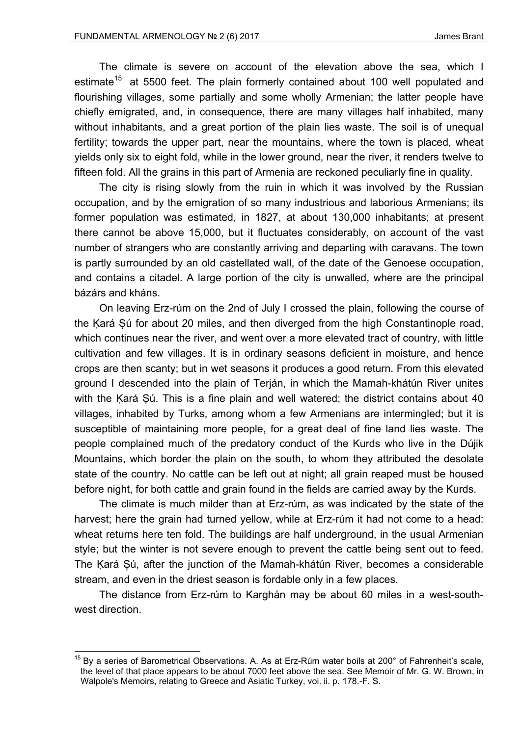The climate is severe on account of the elevation above the sea, which I estimate<sup>15</sup> at 5500 feet. The plain formerly contained about 100 well populated and flourishing villages, some partially and some wholly Armenian; the latter people have chiefly emigrated, and, in consequence, there are many villages half inhabited, many without inhabitants, and a great portion of the plain lies waste. The soil is of unequal fertility; towards the upper part, near the mountains, where the town is placed, wheat yields only six to eight fold, while in the lower ground, near the river, it renders twelve to fifteen fold. All the grains in this part of Armenia are reckoned peculiarly fine in quality.

The city is rising slowly from the ruin in which it was involved by the Russian occupation, and by the emigration of so many industrious and laborious Armenians; its former population was estimated, in 1827, at about 130,000 inhabitants; at present there cannot be above 15,000, but it fluctuates considerably, on account of the vast number of strangers who are constantly arriving and departing with caravans. The town is partly surrounded by an old castellated wall, of the date of the Genoese occupation, and contains a citadel. A large portion of the city is unwalled, where are the principal bázárs and kháns.

On leaving Erz-rúm on the 2nd of July I crossed the plain, following the course of the Ḳará Șú for about 20 miles, and then diverged from the high Constantinople road, which continues near the river, and went over a more elevated tract of country, with little cultivation and few villages. It is in ordinary seasons deficient in moisture, and hence crops are then scanty; but in wet seasons it produces a good return. From this elevated ground I descended into the plain of Terján, in which the Mamah-khátún River unites with the Kará Sú. This is a fine plain and well watered; the district contains about 40 villages, inhabited by Turks, among whom a few Armenians are intermingled; but it is susceptible of maintaining more people, for a great deal of fine land lies waste. The people complained much of the predatory conduct of the Kurds who live in the Dújik Mountains, which border the plain on the south, to whom they attributed the desolate state of the country. No cattle can be left out at night; all grain reaped must be housed before night, for both cattle and grain found in the fields are carried away by the Kurds.

The climate is much milder than at Erz-rúm, as was indicated by the state of the harvest; here the grain had turned yellow, while at Erz-rúm it had not come to a head: wheat returns here ten fold. The buildings are half underground, in the usual Armenian style; but the winter is not severe enough to prevent the cattle being sent out to feed. The Ḳará Șú, after the junction of the Mamah-khátún River, becomes a considerable stream, and even in the driest season is fordable only in a few places.

The distance from Erz-rúm to Karghán may be about 60 miles in a west-southwest direction.

 $15$  By a series of Barometrical Observations. A. As at Erz-Rúm water boils at 200 $^{\circ}$  of Fahrenheit's scale, the level of that place appears to be about 7000 feet above the sea. See Memoir of Mr. G. W. Brown, in Walpole's Memoirs, relating to Greece and Asiatic Turkey, voi. ii. p. 178.-F. S.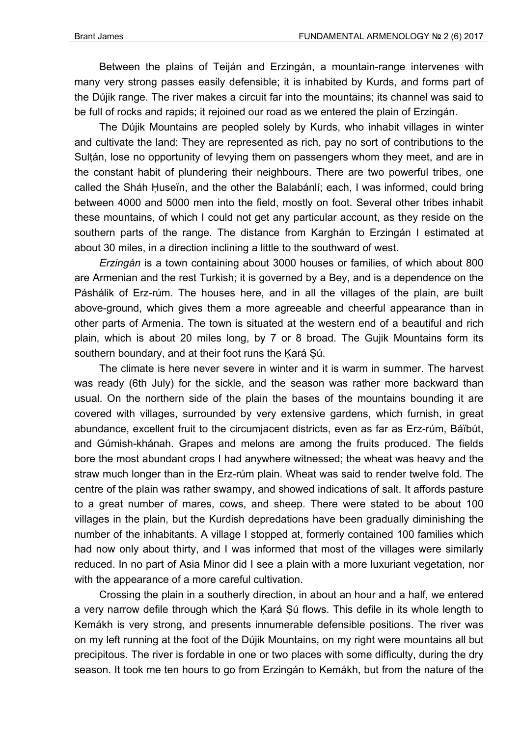Between the plains of Teiján and Erzingán, a mountain-range intervenes with many very strong passes easily defensible; it is inhabited by Kurds, and forms part of the Dújik range. The river makes a circuit far into the mountains; its channel was said to be full of rocks and rapids; it rejoined our road as we entered the plain of Erzingán.

The Dújik Mountains are peopled solely by Kurds, who inhabit villages in winter and cultivate the land: They are represented as rich, pay no sort of contributions to the Sultán, lose no opportunity of levying them on passengers whom they meet, and are in the constant habit of plundering their neighbours. There are two powerful tribes, one called the Sháh Ḥuseïn, and the other the Balabánlí; each, I was informed, could bring between 4000 and 5000 men into the field, mostly on foot. Several other tribes inhabit these mountains, of which I could not get any particular account, as they reside on the southern parts of the range. The distance from Karghán to Erzingán I estimated at about 30 miles, in a direction inclining a little to the southward of west.

*Erzingán* is a town containing about 3000 houses or families, of which about 800 are Armenian and the rest Turkish; it is governed by a Bey, and is a dependence on the Páshálik of Erz-rúm. The houses here, and in all the villages of the plain, are built above-ground, which gives them a more agreeable and cheerful appearance than in other parts of Armenia. The town is situated at the western end of a beautiful and rich plain, which is about 20 miles long, by 7 or 8 broad. The Gujik Mountains form its southern boundary, and at their foot runs the Kará Sú.

The climate is here never severe in winter and it is warm in summer. The harvest was ready (6th July) for the sickle, and the season was rather more backward than usual. On the northern side of the plain the bases of the mountains bounding it are covered with villages, surrounded by very extensive gardens, which furnish, in great abundance, excellent fruit to the circumjacent districts, even as far as Erz-rúm, Báïbút, and Gúmish-khánah. Grapes and melons are among the fruits produced. The fields bore the most abundant crops I had anywhere witnessed; the wheat was heavy and the straw much longer than in the Erz-rúm plain. Wheat was said to render twelve fold. The centre of the plain was rather swampy, and showed indications of salt. It affords pasture to a great number of mares, cows, and sheep. There were stated to be about 100 villages in the plain, but the Kurdish depredations have been gradually diminishing the number of the inhabitants. A village I stopped at, formerly contained 100 families which had now only about thirty, and I was informed that most of the villages were similarly reduced. In no part of Asia Minor did I see a plain with a more luxuriant vegetation, nor with the appearance of a more careful cultivation.

Crossing the plain in a southerly direction, in about an hour and a half, we entered a very narrow defile through which the Kará Sú flows. This defile in its whole length to Kemákh is very strong, and presents innumerable defensible positions. The river was on my left running at the foot of the Dújik Mountains, on my right were mountains all but precipitous. The river is fordable in one or two places with some difficulty, during the dry season. It took me ten hours to go from Erzingán to Kemákh, but from the nature of the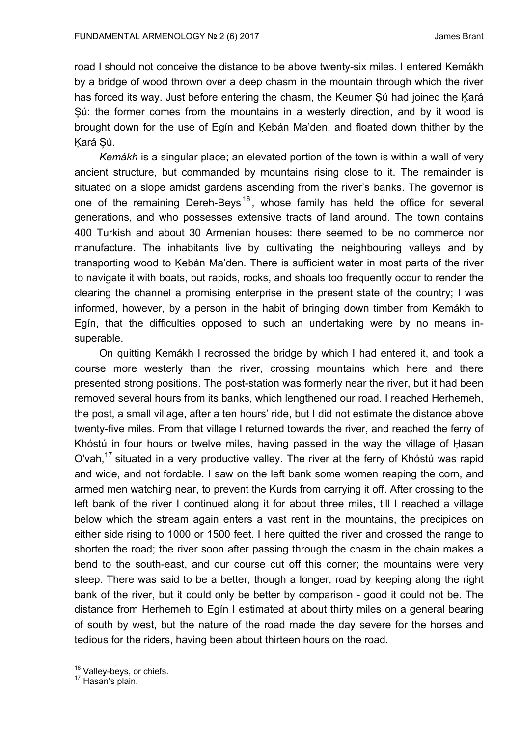road I should not conceive the distance to be above twenty-six miles. I entered Kemákh by a bridge of wood thrown over a deep chasm in the mountain through which the river has forced its way. Just before entering the chasm, the Keumer Sú had joined the Kará Șú: the former comes from the mountains in a westerly direction, and by it wood is brought down for the use of Egín and Kebán Ma'den, and floated down thither by the Ḳará Șú.

*Kemákh* is a singular place; an elevated portion of the town is within a wall of very ancient structure, but commanded by mountains rising close to it. The remainder is situated on a slope amidst gardens ascending from the river's banks. The governor is one of the remaining Dereh-Beys<sup>16</sup>, whose family has held the office for several generations, and who possesses extensive tracts of land around. The town contains 400 Turkish and about 30 Armenian houses: there seemed to be no commerce nor manufacture. The inhabitants live by cultivating the neighbouring valleys and by transporting wood to Kebán Ma'den. There is sufficient water in most parts of the river to navigate it with boats, but rapids, rocks, and shoals too frequently occur to render the clearing the channel a promising enterprise in the present state of the country; I was informed, however, by a person in the habit of bringing down timber from Kemákh to Egín, that the difficulties opposed to such an undertaking were by no means insuperable.

On quitting Kemákh I recrossed the bridge by which I had entered it, and took a course more westerly than the river, crossing mountains which here and there presented strong positions. The post-station was formerly near the river, but it had been removed several hours from its banks, which lengthened our road. I reached Herhemeh, the post, a small village, after a ten hours' ride, but I did not estimate the distance above twenty-five miles. From that village I returned towards the river, and reached the ferry of Khóstú in four hours or twelve miles, having passed in the way the village of Ḥasan O'vah,<sup>17</sup> situated in a very productive valley. The river at the ferry of Khóstú was rapid and wide, and not fordable. I saw on the left bank some women reaping the corn, and armed men watching near, to prevent the Kurds from carrying it off. After crossing to the left bank of the river I continued along it for about three miles, till I reached a village below which the stream again enters a vast rent in the mountains, the precipices on either side rising to 1000 or 1500 feet. I here quitted the river and crossed the range to shorten the road; the river soon after passing through the chasm in the chain makes a bend to the south-east, and our course cut off this corner; the mountains were very steep. There was said to be a better, though a longer, road by keeping along the right bank of the river, but it could only be better by comparison - good it could not be. The distance from Herhemeh to Egín I estimated at about thirty miles on a general bearing of south by west, but the nature of the road made the day severe for the horses and tedious for the riders, having been about thirteen hours on the road.

 $16$  Valley-beys, or chiefs.<br> $17$  Hasan's plain.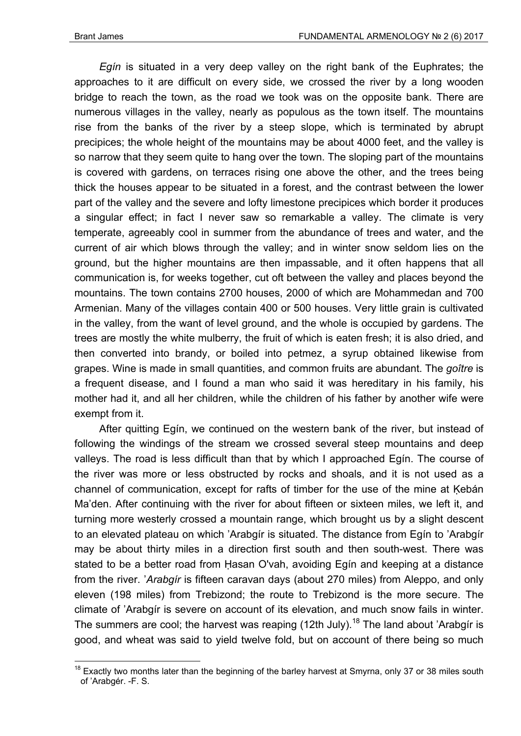*Egín* is situated in a very deep valley on the right bank of the Euphrates; the approaches to it are difficult on every side, we crossed the river by a long wooden bridge to reach the town, as the road we took was on the opposite bank. There are numerous villages in the valley, nearly as populous as the town itself. The mountains rise from the banks of the river by a steep slope, which is terminated by abrupt precipices; the whole height of the mountains may be about 4000 feet, and the valley is so narrow that they seem quite to hang over the town. The sloping part of the mountains is covered with gardens, on terraces rising one above the other, and the trees being thick the houses appear to be situated in a forest, and the contrast between the lower part of the valley and the severe and lofty limestone precipices which border it produces a singular effect; in fact I never saw so remarkable a valley. The climate is very temperate, agreeably cool in summer from the abundance of trees and water, and the current of air which blows through the valley; and in winter snow seldom lies on the ground, but the higher mountains are then impassable, and it often happens that all communication is, for weeks together, cut oft between the valley and places beyond the mountains. The town contains 2700 houses, 2000 of which are Mohammedan and 700 Armenian. Many of the villages contain 400 or 500 houses. Very little grain is cultivated in the valley, from the want of level ground, and the whole is occupied by gardens. The trees are mostly the white mulberry, the fruit of which is eaten fresh; it is also dried, and then converted into brandy, or boiled into petmez, a syrup obtained likewise from grapes. Wine is made in small quantities, and common fruits are abundant. The *goître* is a frequent disease, and I found a man who said it was hereditary in his family, his mother had it, and all her children, while the children of his father by another wife were exempt from it.

After quitting Egín, we continued on the western bank of the river, but instead of following the windings of the stream we crossed several steep mountains and deep valleys. The road is less difficult than that by which I approached Egín. The course of the river was more or less obstructed by rocks and shoals, and it is not used as a channel of communication, except for rafts of timber for the use of the mine at Kebán Ma'den. After continuing with the river for about fifteen or sixteen miles, we left it, and turning more westerly crossed a mountain range, which brought us by a slight descent to an elevated plateau on which 'Arabgír is situated. The distance from Egín to 'Arabgír may be about thirty miles in a direction first south and then south-west. There was stated to be a better road from Ḥasan O'vah, avoiding Egín and keeping at a distance from the river. '*Arabgír* is fifteen caravan days (about 270 miles) from Aleppo, and only eleven (198 miles) from Trebizond; the route to Trebizond is the more secure. The climate of 'Arabgír is severe on account of its elevation, and much snow fails in winter. The summers are cool; the harvest was reaping (12th July).<sup>18</sup> The land about 'Arabgir is good, and wheat was said to yield twelve fold, but on account of there being so much

<sup>1</sup>  $18$  Exactly two months later than the beginning of the barley harvest at Smyrna, only 37 or 38 miles south of 'Arabgér. -F. S.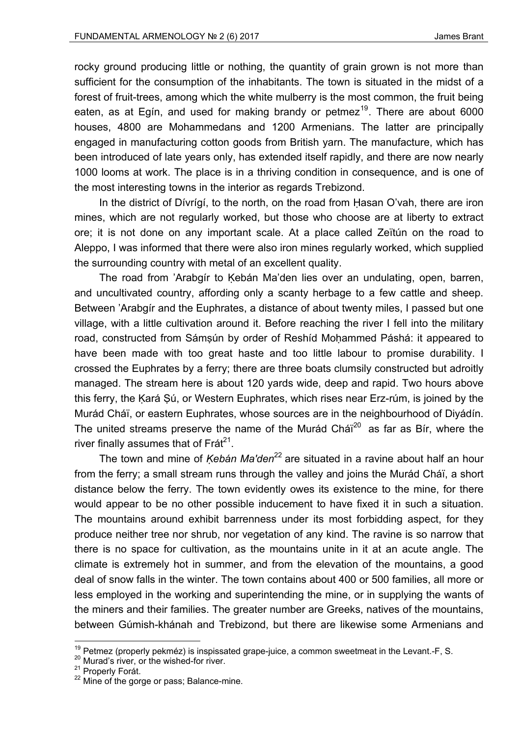rocky ground producing little or nothing, the quantity of grain grown is not more than sufficient for the consumption of the inhabitants. The town is situated in the midst of a forest of fruit-trees, among which the white mulberry is the most common, the fruit being eaten, as at Egín, and used for making brandy or petmez<sup>19</sup>. There are about 6000 houses, 4800 are Mohammedans and 1200 Armenians. The latter are principally engaged in manufacturing cotton goods from British yarn. The manufacture, which has been introduced of late years only, has extended itself rapidly, and there are now nearly 1000 looms at work. The place is in a thriving condition in consequence, and is one of the most interesting towns in the interior as regards Trebizond.

In the district of Dívrígí, to the north, on the road from Ḥasan O'vah, there are iron mines, which are not regularly worked, but those who choose are at liberty to extract ore; it is not done on any important scale. At a place called Zeïtún on the road to Aleppo, I was informed that there were also iron mines regularly worked, which supplied the surrounding country with metal of an excellent quality.

The road from 'Arabgir to Kebán Ma'den lies over an undulating, open, barren, and uncultivated country, affording only a scanty herbage to a few cattle and sheep. Between 'Arabgír and the Euphrates, a distance of about twenty miles, I passed but one village, with a little cultivation around it. Before reaching the river I fell into the military road, constructed from Sámṣún by order of Reshíd Moḥammed Páshá: it appeared to have been made with too great haste and too little labour to promise durability. I crossed the Euphrates by a ferry; there are three boats clumsily constructed but adroitly managed. The stream here is about 120 yards wide, deep and rapid. Two hours above this ferry, the Kará Sú, or Western Euphrates, which rises near Erz-rúm, is joined by the Murád Cháï, or eastern Euphrates, whose sources are in the neighbourhood of Diyádín. The united streams preserve the name of the Murád Chái $20$  as far as Bír, where the river finally assumes that of  $Fr\acute{a}t^{21}$ .

The town and mine of *Kebán Ma'den*<sup>22</sup> are situated in a ravine about half an hour from the ferry; a small stream runs through the valley and joins the Murád Cháï, a short distance below the ferry. The town evidently owes its existence to the mine, for there would appear to be no other possible inducement to have fixed it in such a situation. The mountains around exhibit barrenness under its most forbidding aspect, for they produce neither tree nor shrub, nor vegetation of any kind. The ravine is so narrow that there is no space for cultivation, as the mountains unite in it at an acute angle. The climate is extremely hot in summer, and from the elevation of the mountains, a good deal of snow falls in the winter. The town contains about 400 or 500 families, all more or less employed in the working and superintending the mine, or in supplying the wants of the miners and their families. The greater number are Greeks, natives of the mountains, between Gúmish-khánah and Trebizond, but there are likewise some Armenians and

<sup>&</sup>lt;sup>19</sup> Petmez (properly pekméz) is inspissated grape-juice, a common sweetmeat in the Levant.-F, S.<br><sup>20</sup> Murad's river, or the wished-for river.<br><sup>21</sup> Properly Forát.

 $22$  Mine of the gorge or pass; Balance-mine.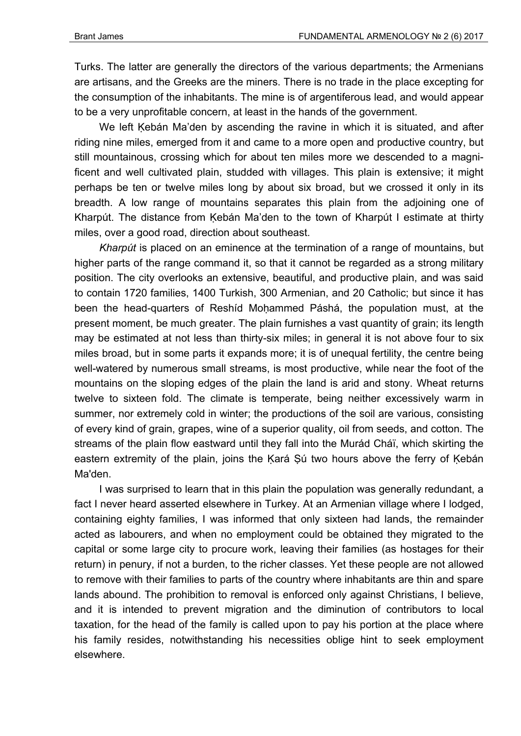Turks. The latter are generally the directors of the various departments; the Armenians are artisans, and the Greeks are the miners. There is no trade in the place excepting for the consumption of the inhabitants. The mine is of argentiferous lead, and would appear to be a very unprofitable concern, at least in the hands of the government.

We left Kebán Ma'den by ascending the ravine in which it is situated, and after riding nine miles, emerged from it and came to a more open and productive country, but still mountainous, crossing which for about ten miles more we descended to a magnificent and well cultivated plain, studded with villages. This plain is extensive; it might perhaps be ten or twelve miles long by about six broad, but we crossed it only in its breadth. A low range of mountains separates this plain from the adjoining one of Kharpút. The distance from Kebán Ma'den to the town of Kharpút I estimate at thirty miles, over a good road, direction about southeast.

*Kharpút* is placed on an eminence at the termination of a range of mountains, but higher parts of the range command it, so that it cannot be regarded as a strong military position. The city overlooks an extensive, beautiful, and productive plain, and was said to contain 1720 families, 1400 Turkish, 300 Armenian, and 20 Catholic; but since it has been the head-quarters of Reshíd Moḥammed Páshá, the population must, at the present moment, be much greater. The plain furnishes a vast quantity of grain; its length may be estimated at not less than thirty-six miles; in general it is not above four to six miles broad, but in some parts it expands more; it is of unequal fertility, the centre being well-watered by numerous small streams, is most productive, while near the foot of the mountains on the sloping edges of the plain the land is arid and stony. Wheat returns twelve to sixteen fold. The climate is temperate, being neither excessively warm in summer, nor extremely cold in winter; the productions of the soil are various, consisting of every kind of grain, grapes, wine of a superior quality, oil from seeds, and cotton. The streams of the plain flow eastward until they fall into the Murád Cháï, which skirting the eastern extremity of the plain, joins the Kará Sú two hours above the ferry of Kebán Ma'den.

I was surprised to learn that in this plain the population was generally redundant, a fact I never heard asserted elsewhere in Turkey. At an Armenian village where I lodged, containing eighty families, I was informed that only sixteen had lands, the remainder acted as labourers, and when no employment could be obtained they migrated to the capital or some large city to procure work, leaving their families (as hostages for their return) in penury, if not a burden, to the richer classes. Yet these people are not allowed to remove with their families to parts of the country where inhabitants are thin and spare lands abound. The prohibition to removal is enforced only against Christians, I believe, and it is intended to prevent migration and the diminution of contributors to local taxation, for the head of the family is called upon to pay his portion at the place where his family resides, notwithstanding his necessities oblige hint to seek employment elsewhere.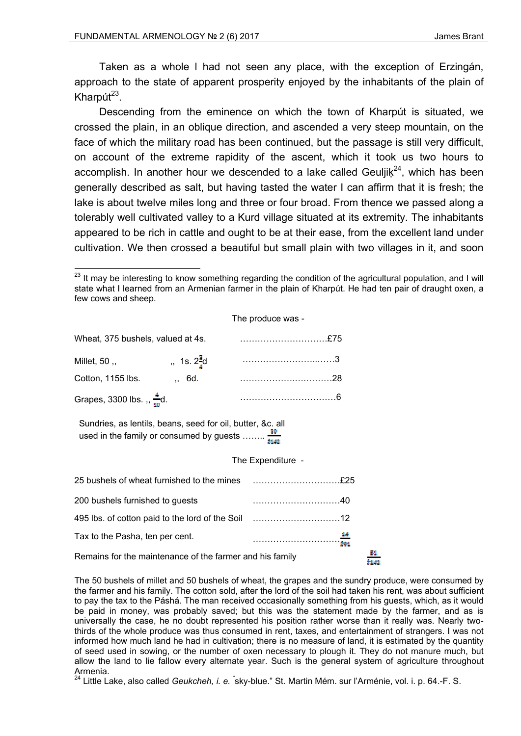Taken as a whole l had not seen any place, with the exception of Erzingán, approach to the state of apparent prosperity enjoyed by the inhabitants of the plain of Kharpút $^{23}$ .

Descending from the eminence on which the town of Kharpút is situated, we crossed the plain, in an oblique direction, and ascended a very steep mountain, on the face of which the military road has been continued, but the passage is still very difficult, on account of the extreme rapidity of the ascent, which it took us two hours to accomplish. In another hour we descended to a lake called Geuljik<sup>24</sup>, which has been generally described as salt, but having tasted the water I can affirm that it is fresh; the lake is about twelve miles long and three or four broad. From thence we passed along a tolerably well cultivated valley to a Kurd village situated at its extremity. The inhabitants appeared to be rich in cattle and ought to be at their ease, from the excellent land under cultivation. We then crossed a beautiful but small plain with two villages in it, and soon

<sup>&</sup>lt;u>.</u> <sup>23</sup> It may be interesting to know something regarding the condition of the agricultural population, and I will state what I learned from an Armenian farmer in the plain of Kharpút. He had ten pair of draught oxen, a few cows and sheep.

| The produce was - |  |  |  |  |
|-------------------|--|--|--|--|
|-------------------|--|--|--|--|

| Wheat, 375 bushels, valued at 4s.    |                       |  |
|--------------------------------------|-----------------------|--|
| Millet, $50$ ,                       | $, 1s. 2\frac{3}{4}d$ |  |
| Cotton, 1155 lbs.                    | ., 6d.                |  |
| Grapes, 3300 lbs., $\frac{4}{10}$ d. |                       |  |

Sundries, as lentils, beans, seed for oil, butter, &c. all used in the family or consumed by guests  $\frac{80}{6448}$ 

The Expenditure -

| 200 bushels furnished to guests                          |                  |  |
|----------------------------------------------------------|------------------|--|
|                                                          |                  |  |
| Tax to the Pasha, ten per cent.                          | $\frac{44}{591}$ |  |
| Remains for the maintenance of the farmer and his family |                  |  |

The 50 bushels of millet and 50 bushels of wheat, the grapes and the sundry produce, were consumed by the farmer and his family. The cotton sold, after the lord of the soil had taken his rent, was about sufficient to pay the tax to the Páshá. The man received occasionally something from his guests, which, as it would be paid in money, was probably saved; but this was the statement made by the farmer, and as is universally the case, he no doubt represented his position rather worse than it really was. Nearly twothirds of the whole produce was thus consumed in rent, taxes, and entertainment of strangers. I was not informed how much land he had in cultivation; there is no measure of land, it is estimated by the quantity of seed used in sowing, or the number of oxen necessary to plough it. They do not manure much, but allow the land to lie fallow every alternate year. Such is the general system of agriculture throughout Armenia.

<sup>24</sup> Little Lake, also called *Geukcheh, i. e.* <sup>\*</sup>sky-blue." St. Martin Mém. sur l'Arménie, vol. i. p. 64.-F. S.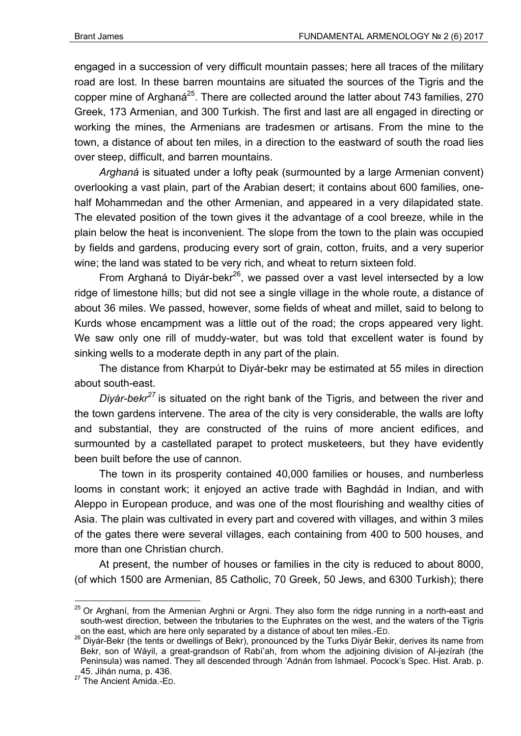engaged in a succession of very difficult mountain passes; here all traces of the military road are lost. In these barren mountains are situated the sources of the Tigris and the copper mine of Arghaná<sup>25</sup>. There are collected around the latter about 743 families, 270 Greek, 173 Armenian, and 300 Turkish. The first and last are all engaged in directing or working the mines, the Armenians are tradesmen or artisans. From the mine to the town, a distance of about ten miles, in a direction to the eastward of south the road lies over steep, difficult, and barren mountains.

*Arghaná* is situated under a lofty peak (surmounted by a large Armenian convent) overlooking a vast plain, part of the Arabian desert; it contains about 600 families, onehalf Mohammedan and the other Armenian, and appeared in a very dilapidated state. The elevated position of the town gives it the advantage of a cool breeze, while in the plain below the heat is inconvenient. The slope from the town to the plain was occupied by fields and gardens, producing every sort of grain, cotton, fruits, and a very superior wine; the land was stated to be very rich, and wheat to return sixteen fold.

From Arghaná to Diyár-bekr<sup>26</sup>, we passed over a vast level intersected by a low ridge of limestone hills; but did not see a single village in the whole route, a distance of about 36 miles. We passed, however, some fields of wheat and millet, said to belong to Kurds whose encampment was a little out of the road; the crops appeared very light. We saw only one rill of muddy-water, but was told that excellent water is found by sinking wells to a moderate depth in any part of the plain.

The distance from Kharpút to Diyár-bekr may be estimated at 55 miles in direction about south-east.

*Diyár-bekr<sup>27</sup>* is situated on the right bank of the Tigris, and between the river and the town gardens intervene. The area of the city is very considerable, the walls are lofty and substantial, they are constructed of the ruins of more ancient edifices, and surmounted by a castellated parapet to protect musketeers, but they have evidently been built before the use of cannon.

The town in its prosperity contained 40,000 families or houses, and numberless looms in constant work; it enjoyed an active trade with Baghdád in Indian, and with Aleppo in European produce, and was one of the most flourishing and wealthy cities of Asia. The plain was cultivated in every part and covered with villages, and within 3 miles of the gates there were several villages, each containing from 400 to 500 houses, and more than one Christian church.

At present, the number of houses or families in the city is reduced to about 8000, (of which 1500 are Armenian, 85 Catholic, 70 Greek, 50 Jews, and 6300 Turkish); there

<sup>&</sup>lt;sup>25</sup> Or Arghaní, from the Armenian Arghni or Argni. They also form the ridge running in a north-east and south-west direction, between the tributaries to the Euphrates on the west, and the waters of the Tigris

on the east, which are here only separated by a distance of about ten miles.-ED.<br><sup>26</sup> Diyár-Bekr (the tents or dwellings of Bekr), pronounced by the Turks Diyár Bekir, derives its name from Bekr, son of Wáyil, a great-grandson of Rabí'ah, from whom the adjoining division of Al-jezírah (the Peninsula) was named. They all descended through 'Adnán from Ishmael. Pocock's Spec. Hist. Arab. p. 45. Jihán numa, p. 436.<br><sup>27</sup> The Ancient Amida.-ED.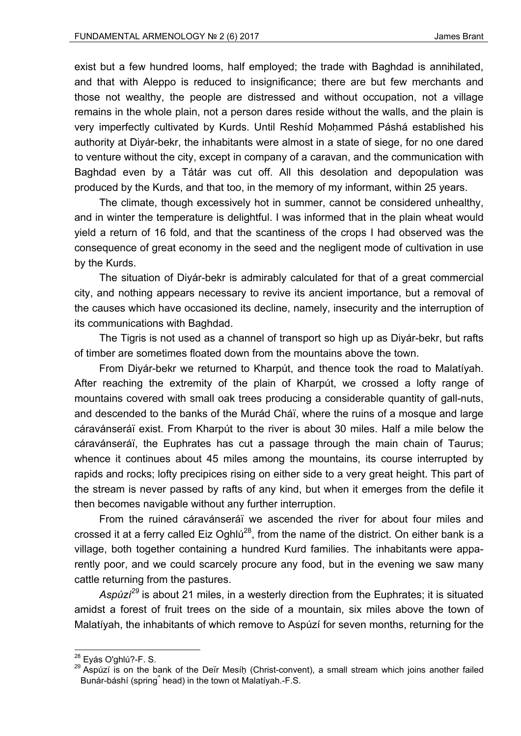exist but a few hundred looms, half employed; the trade with Baghdad is annihilated, and that with Aleppo is reduced to insignificance; there are but few merchants and those not wealthy, the people are distressed and without occupation, not a village remains in the whole plain, not a person dares reside without the walls, and the plain is very imperfectly cultivated by Kurds. Until Reshíd Moḥammed Páshá established his authority at Diyár-bekr, the inhabitants were almost in a state of siege, for no one dared to venture without the city, except in company of a caravan, and the communication with Baghdad even by a Tátár was cut off. All this desolation and depopulation was produced by the Kurds, and that too, in the memory of my informant, within 25 years.

The climate, though excessively hot in summer, cannot be considered unhealthy, and in winter the temperature is delightful. I was informed that in the plain wheat would yield a return of 16 fold, and that the scantiness of the crops I had observed was the consequence of great economy in the seed and the negligent mode of cultivation in use by the Kurds.

The situation of Diyár-bekr is admirably calculated for that of a great commercial city, and nothing appears necessary to revive its ancient importance, but a removal of the causes which have occasioned its decline, namely, insecurity and the interruption of its communications with Baghdad.

The Tigris is not used as a channel of transport so high up as Diyár-bekr, but rafts of timber are sometimes floated down from the mountains above the town.

From Diyár-bekr we returned to Kharpút, and thence took the road to Malatíyah. After reaching the extremity of the plain of Kharpút, we crossed a lofty range of mountains covered with small oak trees producing a considerable quantity of gall-nuts, and descended to the banks of the Murád Cháï, where the ruins of a mosque and large cáravánseráï exist. From Kharpút to the river is about 30 miles. Half a mile below the cáravánseráï, the Euphrates has cut a passage through the main chain of Taurus; whence it continues about 45 miles among the mountains, its course interrupted by rapids and rocks; lofty precipices rising on either side to a very great height. This part of the stream is never passed by rafts of any kind, but when it emerges from the defile it then becomes navigable without any further interruption.

From the ruined cáravánseráï we ascended the river for about four miles and crossed it at a ferry called Eiz Oghlú<sup>28</sup>, from the name of the district. On either bank is a village, both together containing a hundred Kurd families. The inhabitants were apparently poor, and we could scarcely procure any food, but in the evening we saw many cattle returning from the pastures.

*Aspúzí<sup>29</sup>* is about 21 miles, in a westerly direction from the Euphrates; it is situated amidst a forest of fruit trees on the side of a mountain, six miles above the town of Malatíyah, the inhabitants of which remove to Aspúzí for seven months, returning for the

<sup>&</sup>lt;sup>28</sup> Eyás O'ghlú?-F. S.<br><sup>29</sup> Aspúzí is on the bank of the Deïr Mesíḥ (Christ-convent), a small stream which joins another failed Bunár-báshí (spring՞ head) in the town ot Malatíyah.-F.S.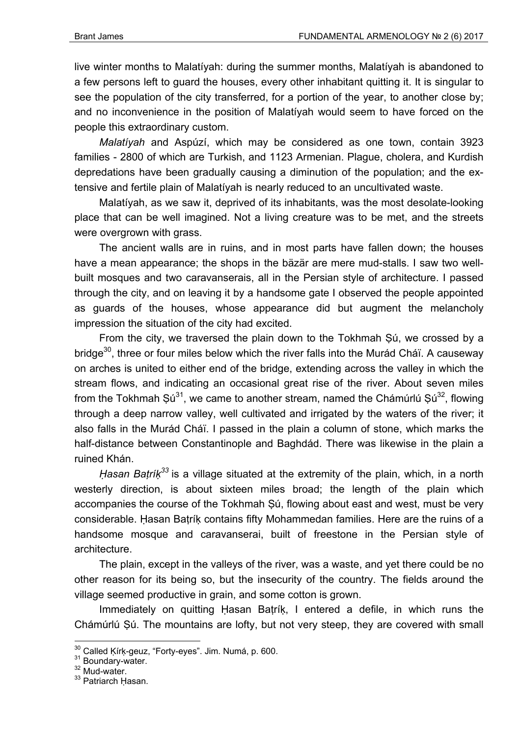live winter months to Malatíyah: during the summer months, Malatíyah is abandoned to a few persons left to guard the houses, every other inhabitant quitting it. It is singular to see the population of the city transferred, for a portion of the year, to another close by; and no inconvenience in the position of Malatíyah would seem to have forced on the people this extraordinary custom.

*Malatíyah* and Aspúzí, which may be considered as one town, contain 3923 families - 2800 of which are Turkish, and 1123 Armenian. Plague, cholera, and Kurdish depredations have been gradually causing a diminution of the population; and the extensive and fertile plain of Malatíyah is nearly reduced to an uncultivated waste.

Malatíyah, as we saw it, deprived of its inhabitants, was the most desolate-looking place that can be well imagined. Not a living creature was to be met, and the streets were overgrown with grass.

The ancient walls are in ruins, and in most parts have fallen down; the houses have a mean appearance; the shops in the bäzär are mere mud-stalls. I saw two wellbuilt mosques and two caravanserais, all in the Persian style of architecture. I passed through the city, and on leaving it by a handsome gate I observed the people appointed as guards of the houses, whose appearance did but augment the melancholy impression the situation of the city had excited.

From the city, we traversed the plain down to the Tokhmah Ṣú, we crossed by a bridge<sup>30</sup>, three or four miles below which the river falls into the Murád Cháï. A causeway on arches is united to either end of the bridge, extending across the valley in which the stream flows, and indicating an occasional great rise of the river. About seven miles from the Tokhmah Sú<sup>31</sup>, we came to another stream, named the Chámúrlú Sú<sup>32</sup>, flowing through a deep narrow valley, well cultivated and irrigated by the waters of the river; it also falls in the Murád Cháï. I passed in the plain a column of stone, which marks the half-distance between Constantinople and Baghdád. There was likewise in the plain a ruined Khán.

*Ḥasan Baṭríḳ<sup>33</sup>* is a village situated at the extremity of the plain, which, in a north westerly direction, is about sixteen miles broad; the length of the plain which accompanies the course of the Tokhmah Ṣú, flowing about east and west, must be very considerable. Ḥasan Baṭríḳ contains fifty Mohammedan families. Here are the ruins of a handsome mosque and caravanserai, built of freestone in the Persian style of architecture.

The plain, except in the valleys of the river, was a waste, and yet there could be no other reason for its being so, but the insecurity of the country. The fields around the village seemed productive in grain, and some cotton is grown.

Immediately on quitting Hasan Batrík, I entered a defile, in which runs the Chámúrlú Ṣú. The mountains are lofty, but not very steep, they are covered with small

 $30$  Called Ķírķ-geuz, "Forty-eyes". Jim. Numá, p. 600.<br> $31$  Boundary-water.<br> $32$  Mud-water.

<sup>&</sup>lt;sup>33</sup> Patriarch Ḥasan.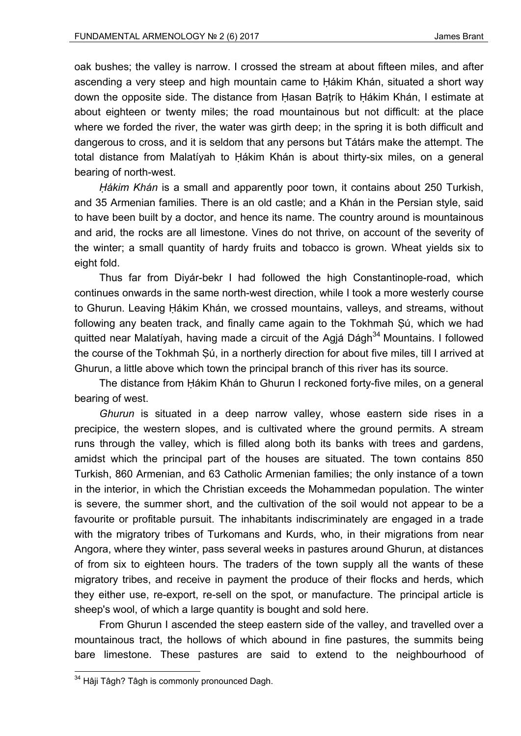oak bushes; the valley is narrow. I crossed the stream at about fifteen miles, and after ascending a very steep and high mountain came to Ḥákim Khán, situated a short way down the opposite side. The distance from Ḥasan Baṭríḳ to Ḥákim Khán, I estimate at about eighteen or twenty miles; the road mountainous but not difficult: at the place where we forded the river, the water was girth deep; in the spring it is both difficult and dangerous to cross, and it is seldom that any persons but Tátárs make the attempt. The total distance from Malatíyah to Ḥákim Khán is about thirty-six miles, on a general bearing of north-west.

*Ḥákim Khán* is a small and apparently poor town, it contains about 250 Turkish, and 35 Armenian families. There is an old castle; and a Khán in the Persian style, said to have been built by a doctor, and hence its name. The country around is mountainous and arid, the rocks are all limestone. Vines do not thrive, on account of the severity of the winter; a small quantity of hardy fruits and tobacco is grown. Wheat yields six to eight fold.

Thus far from Diyár-bekr I had followed the high Constantinople-road, which continues onwards in the same north-west direction, while I took a more westerly course to Ghurun. Leaving Ḥákim Khán, we crossed mountains, valleys, and streams, without following any beaten track, and finally came again to the Tokhmah Ṣú, which we had quitted near Malatíyah, having made a circuit of the Agjá Dágh<sup>34</sup> Mountains. I followed the course of the Tokhmah Ṣú, in a northerly direction for about five miles, till I arrived at Ghurun, a little above which town the principal branch of this river has its source.

The distance from Ḥákim Khán to Ghurun I reckoned forty-five miles, on a general bearing of west.

*Ghurun* is situated in a deep narrow valley, whose eastern side rises in a precipice, the western slopes, and is cultivated where the ground permits. A stream runs through the valley, which is filled along both its banks with trees and gardens, amidst which the principal part of the houses are situated. The town contains 850 Turkish, 860 Armenian, and 63 Catholic Armenian families; the only instance of a town in the interior, in which the Christian exceeds the Mohammedan population. The winter is severe, the summer short, and the cultivation of the soil would not appear to be a favourite or profitable pursuit. The inhabitants indiscriminately are engaged in a trade with the migratory tribes of Turkomans and Kurds, who, in their migrations from near Angora, where they winter, pass several weeks in pastures around Ghurun, at distances of from six to eighteen hours. The traders of the town supply all the wants of these migratory tribes, and receive in payment the produce of their flocks and herds, which they either use, re-export, re-sell on the spot, or manufacture. The principal article is sheep's wool, of which a large quantity is bought and sold here.

From Ghurun I ascended the steep eastern side of the valley, and travelled over a mountainous tract, the hollows of which abound in fine pastures, the summits being bare limestone. These pastures are said to extend to the neighbourhood of

<sup>&</sup>lt;sup>34</sup> Hâji Tâgh? Tâgh is commonly pronounced Dagh.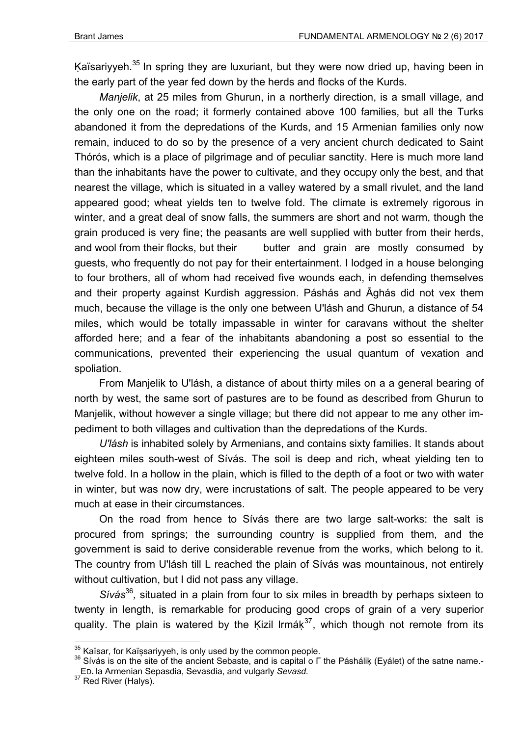Kaïsariyyeh.<sup>35</sup> In spring they are luxuriant, but they were now dried up, having been in the early part of the year fed down by the herds and flocks of the Kurds.

*Manjelik*, at 25 miles from Ghurun, in a northerly direction, is a small village, and the only one on the road; it formerly contained above 100 families, but all the Turks abandoned it from the depredations of the Kurds, and 15 Armenian families only now remain, induced to do so by the presence of a very ancient church dedicated to Saint Thórós, which is a place of pilgrimage and of peculiar sanctity. Here is much more land than the inhabitants have the power to cultivate, and they occupy only the best, and that nearest the village, which is situated in a valley watered by a small rivulet, and the land appeared good; wheat yields ten to twelve fold. The climate is extremely rigorous in winter, and a great deal of snow falls, the summers are short and not warm, though the grain produced is very fine; the peasants are well supplied with butter from their herds, and wool from their flocks, but their butter and grain are mostly consumed by guests, who frequently do not pay for their entertainment. I lodged in a house belonging to four brothers, all of whom had received five wounds each, in defending themselves and their property against Kurdish aggression. Páshás and Āghás did not vex them much, because the village is the only one between U'lásh and Ghurun, a distance of 54 miles, which would be totally impassable in winter for caravans without the shelter afforded here; and a fear of the inhabitants abandoning a post so essential to the communications, prevented their experiencing the usual quantum of vexation and spoliation.

From Manjelik to U'lásh, a distance of about thirty miles on a a general bearing of north by west, the same sort of pastures are to be found as described from Ghurun to Manjelik, without however a single village; but there did not appear to me any other impediment to both villages and cultivation than the depredations of the Kurds.

*U'lásh* is inhabited solely by Armenians, and contains sixty families. It stands about eighteen miles south-west of Sívás. The soil is deep and rich, wheat yielding ten to twelve fold. In a hollow in the plain, which is filled to the depth of a foot or two with water in winter, but was now dry, were incrustations of salt. The people appeared to be very much at ease in their circumstances.

On the road from hence to Sívás there are two large salt-works: the salt is procured from springs; the surrounding country is supplied from them, and the government is said to derive considerable revenue from the works, which belong to it. The country from U'lásh till L reached the plain of Sívás was mountainous, not entirely without cultivation, but I did not pass any village.

*Sívás*<sup>36</sup>*,* situated in a plain from four to six miles in breadth by perhaps sixteen to twenty in length, is remarkable for producing good crops of grain of a very superior quality. The plain is watered by the Kizil lrmá $k^{37}$ , which though not remote from its

<sup>&</sup>lt;sup>35</sup> Kaïsar, for Kaïșsariyyeh, is only used by the common people.<br><sup>36</sup> Sívás is on the site of the ancient Sebaste, and is capital o Г the Pásháliķ (Eyálet) of the satne name.-ED**.** la Armenian Sepasdia, Sevasdia, and vulgarly *Sevasd.*

 $37$  Red River (Halys).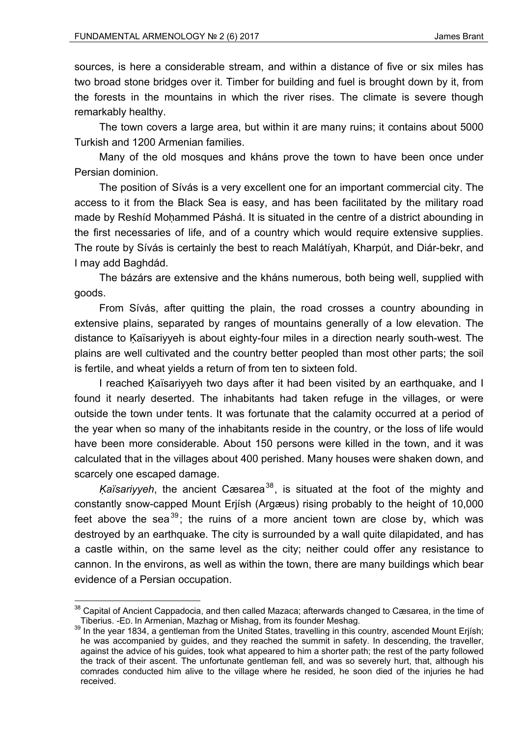1

sources, is here a considerable stream, and within a distance of five or six miles has two broad stone bridges over it. Timber for building and fuel is brought down by it, from the forests in the mountains in which the river rises. The climate is severe though remarkably healthy.

The town covers a large area, but within it are many ruins; it contains about 5000 Turkish and 1200 Armenian families.

Many of the old mosques and kháns prove the town to have been once under Persian dominion.

The position of Sívás is a very excellent one for an important commercial city. The access to it from the Black Sea is easy, and has been facilitated by the military road made by Reshíd Mohammed Páshá. It is situated in the centre of a district abounding in the first necessaries of life, and of a country which would require extensive supplies. The route by Sívás is certainly the best to reach Malátíyah, Kharpút, and Diár-bekr, and I may add Baghdád.

The bázárs are extensive and the kháns numerous, both being well, supplied with goods.

From Sívás, after quitting the plain, the road crosses a country abounding in extensive plains, separated by ranges of mountains generally of a low elevation. The distance to Kaïsariyyeh is about eighty-four miles in a direction nearly south-west. The plains are well cultivated and the country better peopled than most other parts; the soil is fertile, and wheat yields a return of from ten to sixteen fold.

I reached Kaïsariyyeh two days after it had been visited by an earthquake, and I found it nearly deserted. The inhabitants had taken refuge in the villages, or were outside the town under tents. It was fortunate that the calamity occurred at a period of the year when so many of the inhabitants reside in the country, or the loss of life would have been more considerable. About 150 persons were killed in the town, and it was calculated that in the villages about 400 perished. Many houses were shaken down, and scarcely one escaped damage.

*Kaïsariyyeh*, the ancient Cæsarea<sup>38</sup>, is situated at the foot of the mighty and constantly snow-capped Mount Erjísh (Argæus) rising probably to the height of 10,000 feet above the sea<sup>39</sup>; the ruins of a more ancient town are close by, which was destroyed by an earthquake. The city is surrounded by a wall quite dilapidated, and has a castle within, on the same level as the city; neither could offer any resistance to cannon. In the environs, as well as within the town, there are many buildings which bear evidence of a Persian occupation.

 $38$  Capital of Ancient Cappadocia, and then called Mazaca; afterwards changed to Cæsarea, in the time of

Tiberius. -ED. In Armenian, Mazhag or Mishag, from its founder Meshag.<br><sup>39</sup> In the year 1834, a gentleman from the United States, travelling in this country, ascended Mount Erjísh; he was accompanied by guides, and they reached the summit in safety. In descending, the traveller, against the advice of his guides, took what appeared to him a shorter path; the rest of the party followed the track of their ascent. The unfortunate gentleman fell, and was so severely hurt, that, although his comrades conducted him alive to the village where he resided, he soon died of the injuries he had received.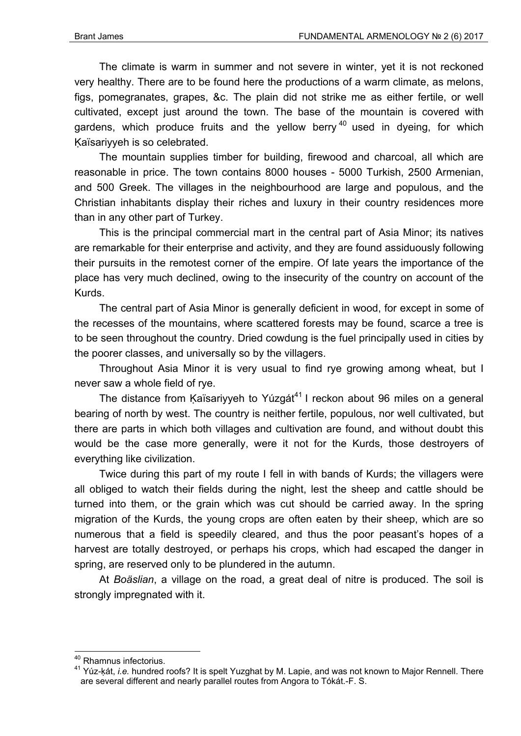The climate is warm in summer and not severe in winter, yet it is not reckoned very healthy. There are to be found here the productions of a warm climate, as melons, figs, pomegranates, grapes, &c. The plain did not strike me as either fertile, or well cultivated, except just around the town. The base of the mountain is covered with gardens, which produce fruits and the yellow berry  $40$  used in dyeing, for which Kaïsariyyeh is so celebrated.

The mountain supplies timber for building, firewood and charcoal, all which are reasonable in price. The town contains 8000 houses - 5000 Turkish, 2500 Armenian, and 500 Greek. The villages in the neighbourhood are large and populous, and the Christian inhabitants display their riches and luxury in their country residences more than in any other part of Turkey.

This is the principal commercial mart in the central part of Asia Minor; its natives are remarkable for their enterprise and activity, and they are found assiduously following their pursuits in the remotest corner of the empire. Of late years the importance of the place has very much declined, owing to the insecurity of the country on account of the Kurds.

The central part of Asia Minor is generally deficient in wood, for except in some of the recesses of the mountains, where scattered forests may be found, scarce a tree is to be seen throughout the country. Dried cowdung is the fuel principally used in cities by the poorer classes, and universally so by the villagers.

Throughout Asia Minor it is very usual to find rye growing among wheat, but I never saw a whole field of rye.

The distance from Kaïsariyyeh to Yúzgát<sup>41</sup> I reckon about 96 miles on a general bearing of north by west. The country is neither fertile, populous, nor well cultivated, but there are parts in which both villages and cultivation are found, and without doubt this would be the case more generally, were it not for the Kurds, those destroyers of everything like civilization.

Twice during this part of my route I fell in with bands of Kurds; the villagers were all obliged to watch their fields during the night, lest the sheep and cattle should be turned into them, or the grain which was cut should be carried away. In the spring migration of the Kurds, the young crops are often eaten by their sheep, which are so numerous that a field is speedily cleared, and thus the poor peasant's hopes of a harvest are totally destroyed, or perhaps his crops, which had escaped the danger in spring, are reserved only to be plundered in the autumn.

At *Boäslian*, a village on the road, a great deal of nitre is produced. The soil is strongly impregnated with it.

<sup>1</sup> 40 Rhamnus infectorius.

<sup>41</sup> Yúz-ḳát, *i.e.* hundred roofs? It is spelt Yuzghat by M. Lapie, and was not known to Major Rennell. There are several different and nearly parallel routes from Angora to Tókát.-F. S.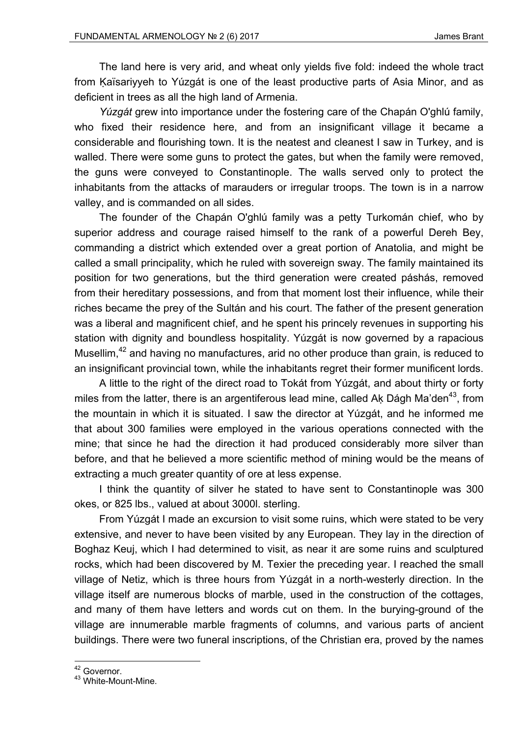The land here is very arid, and wheat only yields five fold: indeed the whole tract from Ḳaïsariyyeh to Yúzgát is one of the least productive parts of Asia Minor, and as deficient in trees as all the high land of Armenia.

*Yúzgát* grew into importance under the fostering care of the Chapán O'ghlú family, who fixed their residence here, and from an insignificant village it became a considerable and flourishing town. It is the neatest and cleanest I saw in Turkey, and is walled. There were some guns to protect the gates, but when the family were removed, the guns were conveyed to Constantinople. The walls served only to protect the inhabitants from the attacks of marauders or irregular troops. The town is in a narrow valley, and is commanded on all sides.

The founder of the Chapán O'ghlú family was a petty Turkomán chief, who by superior address and courage raised himself to the rank of a powerful Dereh Bey, commanding a district which extended over a great portion of Anatolia, and might be called a small principality, which he ruled with sovereign sway. The family maintained its position for two generations, but the third generation were created páshás, removed from their hereditary possessions, and from that moment lost their influence, while their riches became the prey of the Sultán and his court. The father of the present generation was a liberal and magnificent chief, and he spent his princely revenues in supporting his station with dignity and boundless hospitality. Yúzgát is now governed by a rapacious Musellim,<sup>42</sup> and having no manufactures, arid no other produce than grain, is reduced to an insignificant provincial town, while the inhabitants regret their former munificent lords.

A little to the right of the direct road to Tokát from Yúzgát, and about thirty or forty miles from the latter, there is an argentiferous lead mine, called Ak Dágh Ma'den<sup>43</sup>, from the mountain in which it is situated. I saw the director at Yúzgát, and he informed me that about 300 families were employed in the various operations connected with the mine; that since he had the direction it had produced considerably more silver than before, and that he believed a more scientific method of mining would be the means of extracting a much greater quantity of ore at less expense.

I think the quantity of silver he stated to have sent to Constantinople was 300 okes, or 825 lbs., valued at about 3000l. sterling.

From Yúzgát I made an excursion to visit some ruins, which were stated to be very extensive, and never to have been visited by any European. They lay in the direction of Boghaz Keuj, which I had determined to visit, as near it are some ruins and sculptured rocks, which had been discovered by M. Texier the preceding year. I reached the small village of Netiz, which is three hours from Yúzgát in a north-westerly direction. In the village itself are numerous blocks of marble, used in the construction of the cottages, and many of them have letters and words cut on them. In the burying-ground of the village are innumerable marble fragments of columns, and various parts of ancient buildings. There were two funeral inscriptions, of the Christian era, proved by the names

<sup>1</sup> <sup>42</sup> Governor.

<sup>43</sup> White-Mount-Mine.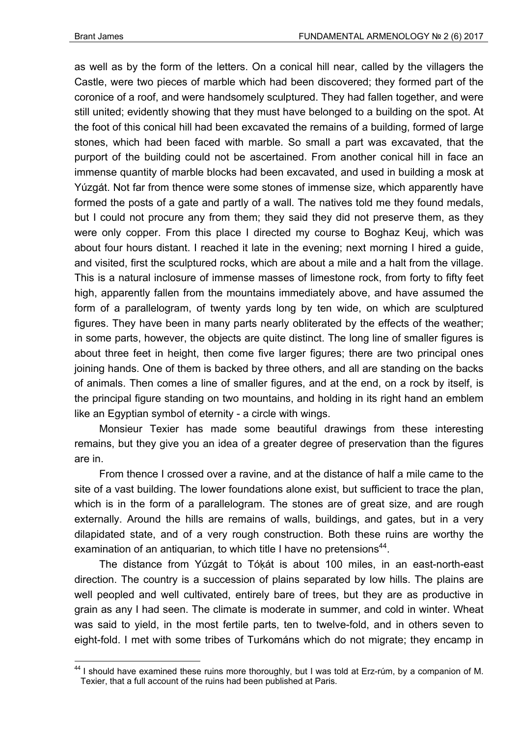1

as well as by the form of the letters. On a conical hill near, called by the villagers the Castle, were two pieces of marble which had been discovered; they formed part of the coronice of a roof, and were handsomely sculptured. They had fallen together, and were still united; evidently showing that they must have belonged to a building on the spot. At the foot of this conical hill had been excavated the remains of a building, formed of large stones, which had been faced with marble. So small a part was excavated, that the purport of the building could not be ascertained. From another conical hill in face an immense quantity of marble blocks had been excavated, and used in building a mosk at Yúzgát. Not far from thence were some stones of immense size, which apparently have formed the posts of a gate and partly of a wall. The natives told me they found medals, but I could not procure any from them; they said they did not preserve them, as they were only copper. From this place I directed my course to Boghaz Keuj, which was about four hours distant. I reached it late in the evening; next morning I hired a guide, and visited, first the sculptured rocks, which are about a mile and a halt from the village. This is a natural inclosure of immense masses of limestone rock, from forty to fifty feet high, apparently fallen from the mountains immediately above, and have assumed the form of a parallelogram, of twenty yards long by ten wide, on which are sculptured figures. They have been in many parts nearly obliterated by the effects of the weather; in some parts, however, the objects are quite distinct. The long line of smaller figures is about three feet in height, then come five larger figures; there are two principal ones joining hands. One of them is backed by three others, and all are standing on the backs of animals. Then comes a line of smaller figures, and at the end, on a rock by itself, is the principal figure standing on two mountains, and holding in its right hand an emblem like an Egyptian symbol of eternity - a circle with wings.

Monsieur Texier has made some beautiful drawings from these interesting remains, but they give you an idea of a greater degree of preservation than the figures are in.

From thence I crossed over a ravine, and at the distance of half a mile came to the site of a vast building. The lower foundations alone exist, but sufficient to trace the plan, which is in the form of a parallelogram. The stones are of great size, and are rough externally. Around the hills are remains of walls, buildings, and gates, but in a very dilapidated state, and of a very rough construction. Both these ruins are worthy the examination of an antiquarian, to which title I have no pretensions<sup>44</sup>.

The distance from Yúzgát to Tóḳát is about 100 miles, in an east-north-east direction. The country is a succession of plains separated by low hills. The plains are well peopled and well cultivated, entirely bare of trees, but they are as productive in grain as any I had seen. The climate is moderate in summer, and cold in winter. Wheat was said to yield, in the most fertile parts, ten to twelve-fold, and in others seven to eight-fold. I met with some tribes of Turkománs which do not migrate; they encamp in

 $44$  I should have examined these ruins more thoroughly, but I was told at Erz-rúm, by a companion of M. Texier, that a full account of the ruins had been published at Paris.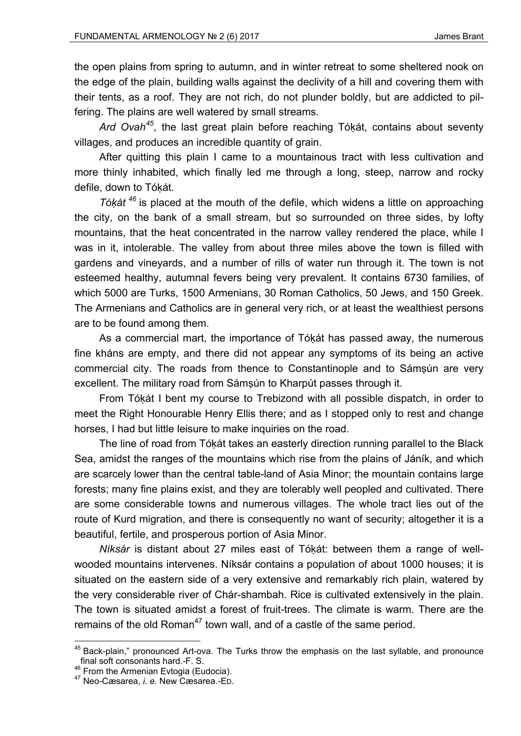the open plains from spring to autumn, and in winter retreat to some sheltered nook on the edge of the plain, building walls against the declivity of a hill and covering them with their tents, as a roof. They are not rich, do not plunder boldly, but are addicted to pilfering. The plains are well watered by small streams.

*Ard Ovah45,* the last great plain before reaching Tóḳát, contains about seventy villages, and produces an incredible quantity of grain.

After quitting this plain I came to a mountainous tract with less cultivation and more thinly inhabited, which finally led me through a long, steep, narrow and rocky defile, down to Tóḳát.

*Tóḳát <sup>46</sup>* is placed at the mouth of the defile, which widens a little on approaching the city, on the bank of a small stream, but so surrounded on three sides, by lofty mountains, that the heat concentrated in the narrow valley rendered the place, while I was in it, intolerable. The valley from about three miles above the town is filled with gardens and vineyards, and a number of rills of water run through it. The town is not esteemed healthy, autumnal fevers being very prevalent. It contains 6730 families, of which 5000 are Turks, 1500 Armenians, 30 Roman Catholics, 50 Jews, and 150 Greek. The Armenians and Catholics are in general very rich, or at least the wealthiest persons are to be found among them.

As a commercial mart, the importance of Tóḳát has passed away, the numerous fine kháns are empty, and there did not appear any symptoms of its being an active commercial city. The roads from thence to Constantinople and to Sámsún are very excellent. The military road from Sámṣún to Kharpút passes through it.

From Tóḳát I bent my course to Trebizond with all possible dispatch, in order to meet the Right Honourable Henry Ellis there; and as I stopped only to rest and change horses, I had but little leisure to make inquiries on the road.

The line of road from Tóḳát takes an easterly direction running parallel to the Black Sea, amidst the ranges of the mountains which rise from the plains of Jáník, and which are scarcely lower than the central table-land of Asia Minor; the mountain contains large forests; many fine plains exist, and they are tolerably well peopled and cultivated. There are some considerable towns and numerous villages. The whole tract lies out of the route of Kurd migration, and there is consequently no want of security; altogether it is a beautiful, fertile, and prosperous portion of Asia Minor.

*Níksár* is distant about 27 miles east of Tóḳát: between them a range of wellwooded mountains intervenes. Níksár contains a population of about 1000 houses; it is situated on the eastern side of a very extensive and remarkably rich plain, watered by the very considerable river of Chár-shambah. Rice is cultivated extensively in the plain. The town is situated amidst a forest of fruit-trees. The climate is warm. There are the remains of the old Roman<sup>47</sup> town wall, and of a castle of the same period.

 $45$  Back-plain," pronounced Art-ova. The Turks throw the emphasis on the last syllable, and pronounce final soft consonants hard.-F. S.

<sup>&</sup>lt;sup>46</sup> From the Armenian Evtogia (Eudocia).<br><sup>47</sup> Neo-Cæsarea, *i. e.* New Cæsarea.-ED.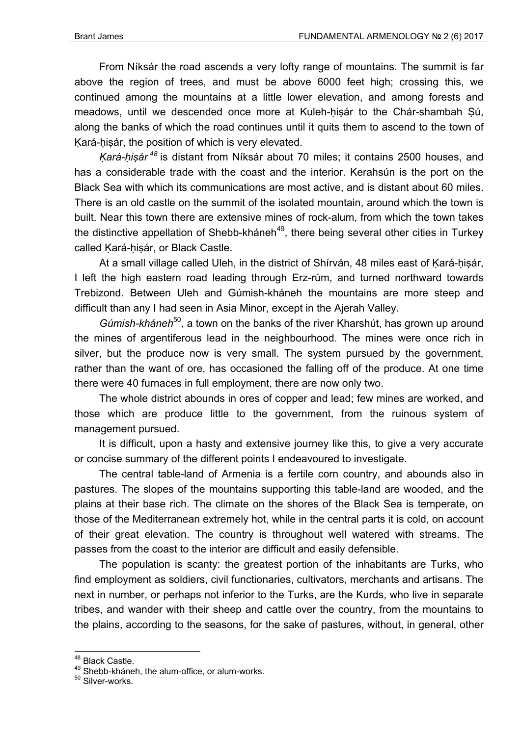From Níksár the road ascends a very lofty range of mountains. The summit is far above the region of trees, and must be above 6000 feet high; crossing this, we continued among the mountains at a little lower elevation, and among forests and meadows, until we descended once more at Kuleh-hisár to the Chár-shambah Sú, along the banks of which the road continues until it quits them to ascend to the town of Kará-hisár, the position of which is very elevated.

*Ḳará-ḥiṣár<sup>48</sup>* is distant from Níksár about 70 miles; it contains 2500 houses, and has a considerable trade with the coast and the interior. Kerahsún is the port on the Black Sea with which its communications are most active, and is distant about 60 miles. There is an old castle on the summit of the isolated mountain, around which the town is built. Near this town there are extensive mines of rock-alum, from which the town takes the distinctive appellation of Shebb-kháneh<sup>49</sup>, there being several other cities in Turkey called Ḳará-ḥiṣár, or Black Castle.

At a small village called Uleh, in the district of Shírván, 48 miles east of Kará-hisár, I left the high eastern road leading through Erz-rúm, and turned northward towards Trebizond. Between Uleh and Gúmish-kháneh the mountains are more steep and difficult than any I had seen in Asia Minor, except in the Ajerah Valley.

*Gúmish-kháneh*<sup>50</sup>, a town on the banks of the river Kharshút, has grown up around the mines of argentiferous lead in the neighbourhood. The mines were once rich in silver, but the produce now is very small. The system pursued by the government, rather than the want of ore, has occasioned the falling off of the produce. At one time there were 40 furnaces in full employment, there are now only two.

The whole district abounds in ores of copper and lead; few mines are worked, and those which are produce little to the government, from the ruinous system of management pursued.

It is difficult, upon a hasty and extensive journey like this, to give a very accurate or concise summary of the different points I endeavoured to investigate.

The central table-land of Armenia is a fertile corn country, and abounds also in pastures. The slopes of the mountains supporting this table-land are wooded, and the plains at their base rich. The climate on the shores of the Black Sea is temperate, on those of the Mediterranean extremely hot, while in the central parts it is cold, on account of their great elevation. The country is throughout well watered with streams. The passes from the coast to the interior are difficult and easily defensible.

The population is scanty: the greatest portion of the inhabitants are Turks, who find employment as soldiers, civil functionaries, cultivators, merchants and artisans. The next in number, or perhaps not inferior to the Turks, are the Kurds, who live in separate tribes, and wander with their sheep and cattle over the country, from the mountains to the plains, according to the seasons, for the sake of pastures, without, in general, other

 $^{48}$  Black Castle.

<sup>&</sup>lt;sup>49</sup> Shebb-kháneh, the alum-office, or alum-works.

<sup>&</sup>lt;sup>50</sup> Silver-works.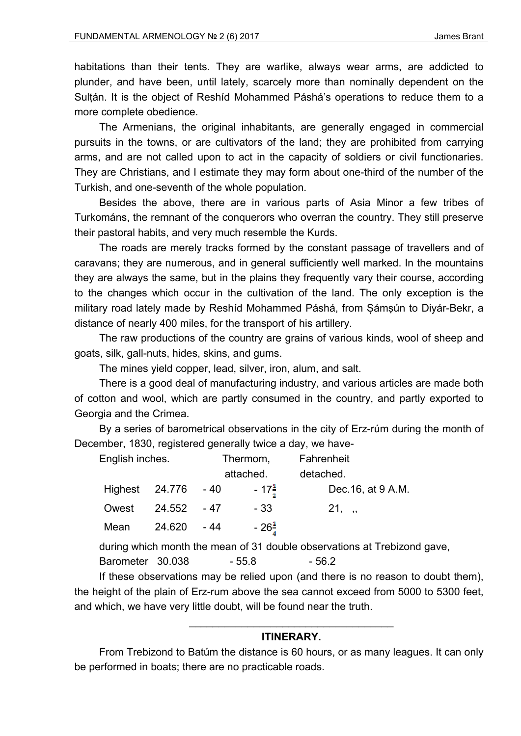habitations than their tents. They are warlike, always wear arms, are addicted to plunder, and have been, until lately, scarcely more than nominally dependent on the Sulṭán. It is the object of Reshíd Mohammed Páshá's operations to reduce them to a more complete obedience.

The Armenians, the original inhabitants, are generally engaged in commercial pursuits in the towns, or are cultivators of the land; they are prohibited from carrying arms, and are not called upon to act in the capacity of soldiers or civil functionaries. They are Christians, and I estimate they may form about one-third of the number of the Turkish, and one-seventh of the whole population.

Besides the above, there are in various parts of Asia Minor a few tribes of Turkománs, the remnant of the conquerors who overran the country. They still preserve their pastoral habits, and very much resemble the Kurds.

The roads are merely tracks formed by the constant passage of travellers and of caravans; they are numerous, and in general sufficiently well marked. In the mountains they are always the same, but in the plains they frequently vary their course, according to the changes which occur in the cultivation of the land. The only exception is the military road lately made by Reshíd Mohammed Páshá, from Șámṣún to Diyár-Bekr, a distance of nearly 400 miles, for the transport of his artillery.

The raw productions of the country are grains of various kinds, wool of sheep and goats, silk, gall-nuts, hides, skins, and gums.

The mines yield copper, lead, silver, iron, alum, and salt.

There is a good deal of manufacturing industry, and various articles are made both of cotton and wool, which are partly consumed in the country, and partly exported to Georgia and the Crimea.

By a series of barometrical observations in the city of Erz-rúm during the month of December, 1830, registered generally twice a day, we have-

| English inches. |             |       | Thermom,            | Fahrenheit         |
|-----------------|-------------|-------|---------------------|--------------------|
|                 |             |       | attached.           | detached.          |
| Highest 24.776  |             | $-40$ | $-17^{\frac{1}{2}}$ | Dec. 16, at 9 A.M. |
| Owest           | 24.552 - 47 |       | - 33                | $21,$ ,            |
| Mean            | 24.620      | - 44  | $-26\frac{1}{3}$    |                    |

during which month the mean of 31 double observations at Trebizond gave, Barometer 30.038 - 55.8 - 56.2

If these observations may be relied upon (and there is no reason to doubt them), the height of the plain of Erz-rum above the sea cannot exceed from 5000 to 5300 feet, and which, we have very little doubt, will be found near the truth.

## \_\_\_\_\_\_\_\_\_\_\_\_\_\_\_\_\_\_\_\_\_\_\_\_\_\_\_\_\_\_\_\_\_\_\_ **ITINERARY.**

From Trebizond to Batúm the distance is 60 hours, or as many leagues. It can only be performed in boats; there are no practicable roads.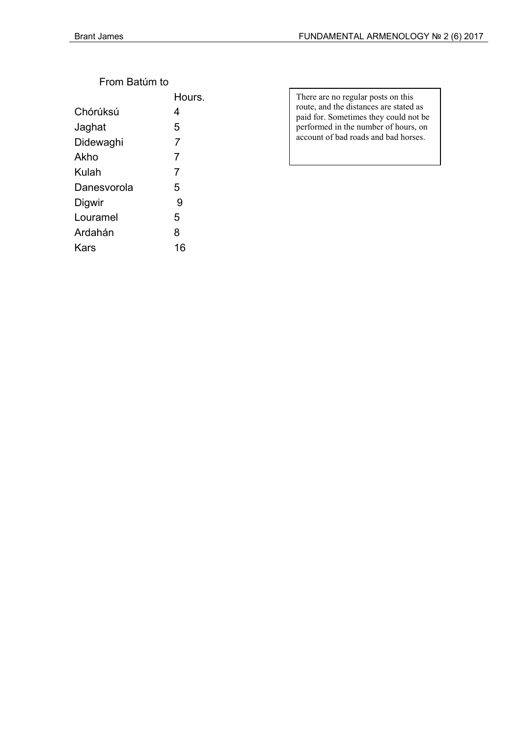## From Batúm to

|             | Hours.         |
|-------------|----------------|
| Chórúksú    | 4              |
| Jaghat      | 5              |
| Didewaghi   | 7              |
| Akho        | 7              |
| Kulah       | $\overline{7}$ |
| Danesvorola | 5              |
| Digwir      | 9              |
| Louramel    | 5              |
| Ardahán     | 8              |
| Kars        | 16             |
|             |                |

There are no regular posts on this route, and the distances are stated as paid for. Sometimes they could not be performed in the number of hours, on account of bad roads and bad horses.